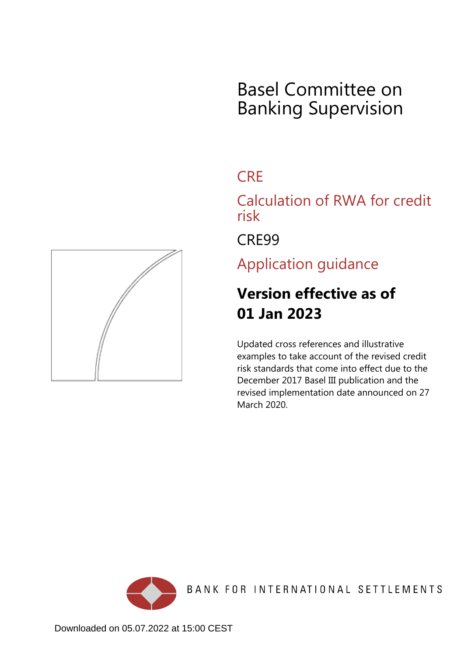# Basel Committee on Banking Supervision

## **CRF**

Calculation of RWA for credit risk

CRE99

Application guidance

## **Version effective as of 01 Jan 2023**

Updated cross references and illustrative examples to take account of the revised credit risk standards that come into effect due to the December 2017 Basel III publication and the revised implementation date announced on 27 March 2020.



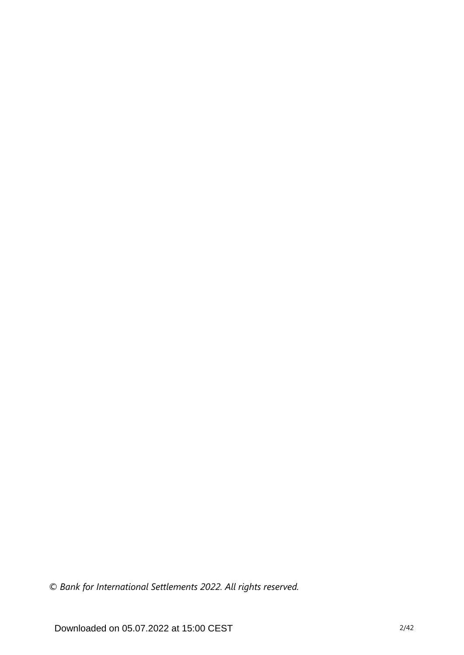*© Bank for International Settlements 2022. All rights reserved.*

Downloaded on 05.07.2022 at 15:00 CEST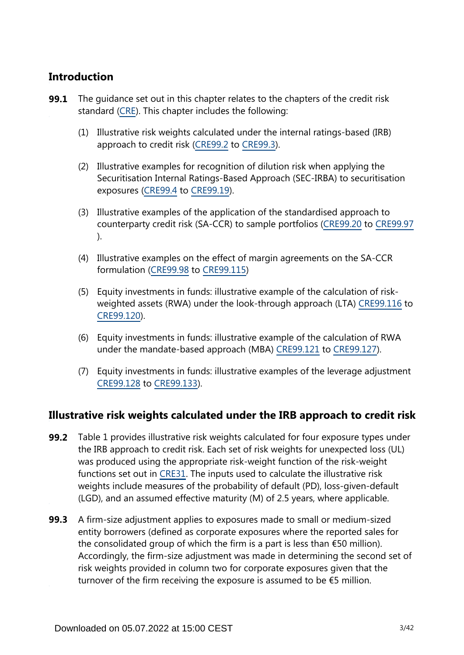## **Introduction**

- The guidance set out in this chapter relates to the chapters of the credit risk standard [\(CRE](https://www.bis.org/basel_framework/standard/CRE.htm)). This chapter includes the following: **99.1**
	- (1) Illustrative risk weights calculated under the internal ratings-based (IRB) approach to credit risk [\(CRE99.2](https://www.bis.org/basel_framework/chapter/CRE/99.htm?inforce=20230101&published=20200327#paragraph_CRE_99_20230101_99_2) to [CRE99.3](https://www.bis.org/basel_framework/chapter/CRE/99.htm?inforce=20230101&published=20200327#paragraph_CRE_99_20230101_99_3)).
	- (2) Illustrative examples for recognition of dilution risk when applying the Securitisation Internal Ratings-Based Approach (SEC-IRBA) to securitisation exposures ([CRE99.4](https://www.bis.org/basel_framework/chapter/CRE/99.htm?inforce=20230101&published=20200327#paragraph_CRE_99_20230101_99_4) to [CRE99.19](https://www.bis.org/basel_framework/chapter/CRE/99.htm?inforce=20230101&published=20200327#paragraph_CRE_99_20230101_99_19)).
	- (3) Illustrative examples of the application of the standardised approach to counterparty credit risk (SA-CCR) to sample portfolios [\(CRE99.20](https://www.bis.org/basel_framework/chapter/CRE/99.htm?inforce=20230101&published=20200327#paragraph_CRE_99_20230101_99_20) to [CRE99.97](https://www.bis.org/basel_framework/chapter/CRE/99.htm?inforce=20230101&published=20200327#paragraph_CRE_99_20230101_99_97) ).
	- (4) Illustrative examples on the effect of margin agreements on the SA-CCR formulation [\(CRE99.98](https://www.bis.org/basel_framework/chapter/CRE/99.htm?inforce=20230101&published=20200327#paragraph_CRE_99_20230101_99_98) to [CRE99.115\)](https://www.bis.org/basel_framework/chapter/CRE/99.htm?inforce=20230101&published=20200327#paragraph_CRE_99_20230101_99_115)
	- (5) Equity investments in funds: illustrative example of the calculation of riskweighted assets (RWA) under the look-through approach (LTA) [CRE99.116](https://www.bis.org/basel_framework/chapter/CRE/99.htm?inforce=20230101&published=20200327#paragraph_CRE_99_20230101_99_116) to [CRE99.120](https://www.bis.org/basel_framework/chapter/CRE/99.htm?inforce=20230101&published=20200327#paragraph_CRE_99_20230101_99_120)).
	- (6) Equity investments in funds: illustrative example of the calculation of RWA under the mandate-based approach (MBA) [CRE99.121](https://www.bis.org/basel_framework/chapter/CRE/99.htm?inforce=20230101&published=20200327#paragraph_CRE_99_20230101_99_121) to [CRE99.127\)](https://www.bis.org/basel_framework/chapter/CRE/99.htm?inforce=20230101&published=20200327#paragraph_CRE_99_20230101_99_127).
	- (7) Equity investments in funds: illustrative examples of the leverage adjustment [CRE99.128](https://www.bis.org/basel_framework/chapter/CRE/99.htm?inforce=20230101&published=20200327#paragraph_CRE_99_20230101_99_128) to [CRE99.133\)](https://www.bis.org/basel_framework/chapter/CRE/99.htm?inforce=20230101&published=20200327#paragraph_CRE_99_20230101_99_133).

### **Illustrative risk weights calculated under the IRB approach to credit risk**

- **99.2** Table 1 provides illustrative risk weights calculated for four exposure types under the IRB approach to credit risk. Each set of risk weights for unexpected loss (UL) was produced using the appropriate risk-weight function of the risk-weight functions set out in [CRE31.](https://www.bis.org/basel_framework/chapter/CRE/31.htm?inforce=20230101&published=20200327) The inputs used to calculate the illustrative risk weights include measures of the probability of default (PD), loss-given-default (LGD), and an assumed effective maturity (M) of 2.5 years, where applicable.
- **99.3** A firm-size adjustment applies to exposures made to small or medium-sized entity borrowers (defined as corporate exposures where the reported sales for the consolidated group of which the firm is a part is less than  $\epsilon$ 50 million). Accordingly, the firm-size adjustment was made in determining the second set of risk weights provided in column two for corporate exposures given that the turnover of the firm receiving the exposure is assumed to be  $\epsilon$ 5 million.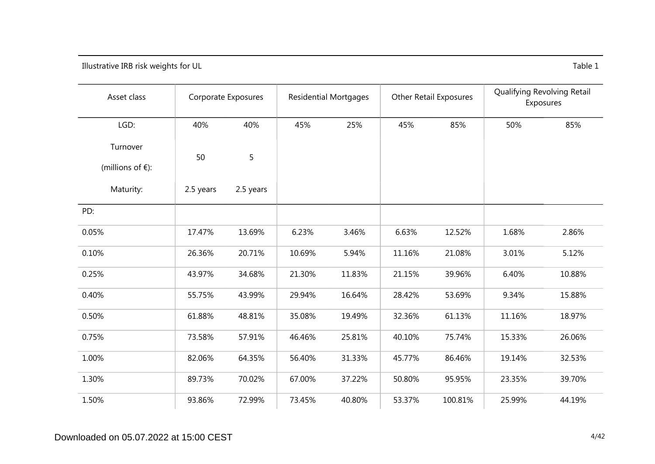Illustrative IRB risk weights for UL Table 1

| Asset class                               |           | Corporate Exposures | <b>Residential Mortgages</b> |        | <b>Other Retail Exposures</b> |         | Qualifying Revolving Retail<br>Exposures |        |
|-------------------------------------------|-----------|---------------------|------------------------------|--------|-------------------------------|---------|------------------------------------------|--------|
| LGD:                                      | 40%       | 40%                 | 45%                          | 25%    | 45%                           | 85%     | 50%                                      | 85%    |
| Turnover<br>(millions of $\varepsilon$ ): | 50        | 5                   |                              |        |                               |         |                                          |        |
| Maturity:                                 | 2.5 years | 2.5 years           |                              |        |                               |         |                                          |        |
| PD:                                       |           |                     |                              |        |                               |         |                                          |        |
| 0.05%                                     | 17.47%    | 13.69%              | 6.23%                        | 3.46%  | 6.63%                         | 12.52%  | 1.68%                                    | 2.86%  |
| 0.10%                                     | 26.36%    | 20.71%              | 10.69%                       | 5.94%  | 11.16%                        | 21.08%  | 3.01%                                    | 5.12%  |
| 0.25%                                     | 43.97%    | 34.68%              | 21.30%                       | 11.83% | 21.15%                        | 39.96%  | 6.40%                                    | 10.88% |
| 0.40%                                     | 55.75%    | 43.99%              | 29.94%                       | 16.64% | 28.42%                        | 53.69%  | 9.34%                                    | 15.88% |
| 0.50%                                     | 61.88%    | 48.81%              | 35.08%                       | 19.49% | 32.36%                        | 61.13%  | 11.16%                                   | 18.97% |
| 0.75%                                     | 73.58%    | 57.91%              | 46.46%                       | 25.81% | 40.10%                        | 75.74%  | 15.33%                                   | 26.06% |
| 1.00%                                     | 82.06%    | 64.35%              | 56.40%                       | 31.33% | 45.77%                        | 86.46%  | 19.14%                                   | 32.53% |
| 1.30%                                     | 89.73%    | 70.02%              | 67.00%                       | 37.22% | 50.80%                        | 95.95%  | 23.35%                                   | 39.70% |
| 1.50%                                     | 93.86%    | 72.99%              | 73.45%                       | 40.80% | 53.37%                        | 100.81% | 25.99%                                   | 44.19% |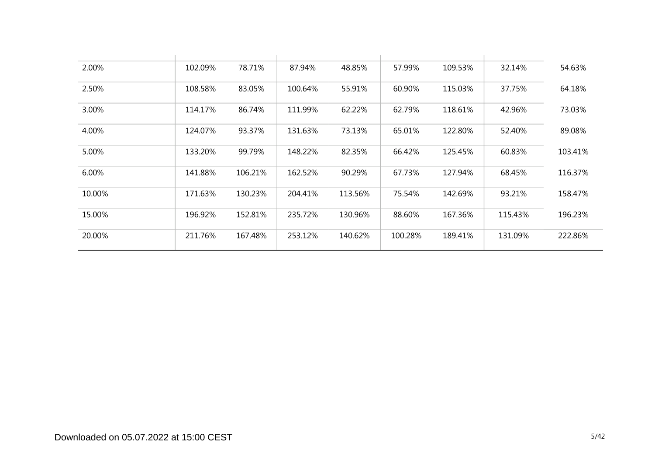| 2.00%  | 102.09% | 78.71%  | 87.94%  | 48.85%  | 57.99%  | 109.53% | 32.14%  | 54.63%  |
|--------|---------|---------|---------|---------|---------|---------|---------|---------|
| 2.50%  | 108.58% | 83.05%  | 100.64% | 55.91%  | 60.90%  | 115.03% | 37.75%  | 64.18%  |
| 3.00%  | 114.17% | 86.74%  | 111.99% | 62.22%  | 62.79%  | 118.61% | 42.96%  | 73.03%  |
| 4.00%  | 124.07% | 93.37%  | 131.63% | 73.13%  | 65.01%  | 122.80% | 52.40%  | 89.08%  |
| 5.00%  | 133.20% | 99.79%  | 148.22% | 82.35%  | 66.42%  | 125.45% | 60.83%  | 103.41% |
| 6.00%  | 141.88% | 106.21% | 162.52% | 90.29%  | 67.73%  | 127.94% | 68.45%  | 116.37% |
| 10.00% | 171.63% | 130.23% | 204.41% | 113.56% | 75.54%  | 142.69% | 93.21%  | 158.47% |
| 15.00% | 196.92% | 152.81% | 235.72% | 130.96% | 88.60%  | 167.36% | 115.43% | 196.23% |
| 20.00% | 211.76% | 167.48% | 253.12% | 140.62% | 100.28% | 189.41% | 131.09% | 222.86% |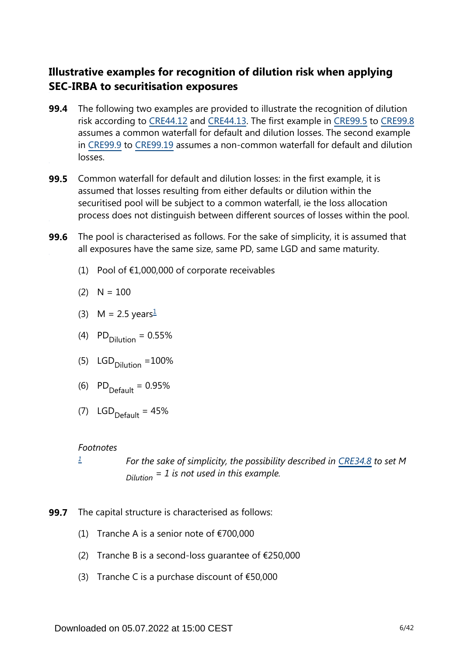## **Illustrative examples for recognition of dilution risk when applying SEC-IRBA to securitisation exposures**

- The following two examples are provided to illustrate the recognition of dilution risk according to [CRE44.12](https://www.bis.org/basel_framework/chapter/CRE/44.htm?inforce=20230101&published=20200327#paragraph_CRE_44_20230101_44_12) and [CRE44.13](https://www.bis.org/basel_framework/chapter/CRE/44.htm?inforce=20230101&published=20200327#paragraph_CRE_44_20230101_44_13). The first example in [CRE99.5](https://www.bis.org/basel_framework/chapter/CRE/99.htm?inforce=20230101&published=20200327#paragraph_CRE_99_20230101_99_5) to [CRE99.8](https://www.bis.org/basel_framework/chapter/CRE/99.htm?inforce=20230101&published=20200327#paragraph_CRE_99_20230101_99_8) assumes a common waterfall for default and dilution losses. The second example in [CRE99.9](https://www.bis.org/basel_framework/chapter/CRE/99.htm?inforce=20230101&published=20200327#paragraph_CRE_99_20230101_99_9) to [CRE99.19](https://www.bis.org/basel_framework/chapter/CRE/99.htm?inforce=20230101&published=20200327#paragraph_CRE_99_20230101_99_19) assumes a non-common waterfall for default and dilution losses. **99.4**
- **99.5** Common waterfall for default and dilution losses: in the first example, it is assumed that losses resulting from either defaults or dilution within the securitised pool will be subject to a common waterfall, ie the loss allocation process does not distinguish between different sources of losses within the pool.
- The pool is characterised as follows. For the sake of simplicity, it is assumed that all exposures have the same size, same PD, same LGD and same maturity. **99.6**
	- (1) Pool of  $£1,000,000$  of corporate receivables

$$
(2) \quad N=100
$$

- <span id="page-5-1"></span>(3) M = 2.5 years $\frac{1}{2}$  $\frac{1}{2}$  $\frac{1}{2}$
- (4)  $PD_{\text{Dilution}} = 0.55\%$
- (5)  $LGD_{\text{Dilution}} = 100\%$
- (6)  $PD_{\text{Default}} = 0.95\%$
- (7)  $LGD_{\text{Default}} = 45\%$

#### *Footnotes*

*[1](#page-5-1)*

*For the sake of simplicity, the possibility described in [CRE34.8](https://www.bis.org/basel_framework/chapter/CRE/34.htm?inforce=20230101&published=20201126#paragraph_CRE_34_20230101_34_8) to set M = 1 is not used in this example. Dilution*

- <span id="page-5-0"></span>**99.7** The capital structure is characterised as follows:
	- (1) Tranche A is a senior note of  $\epsilon$ 700,000
	- (2) Tranche B is a second-loss quarantee of  $\epsilon$ 250,000
	- (3) Tranche C is a purchase discount of  $£50,000$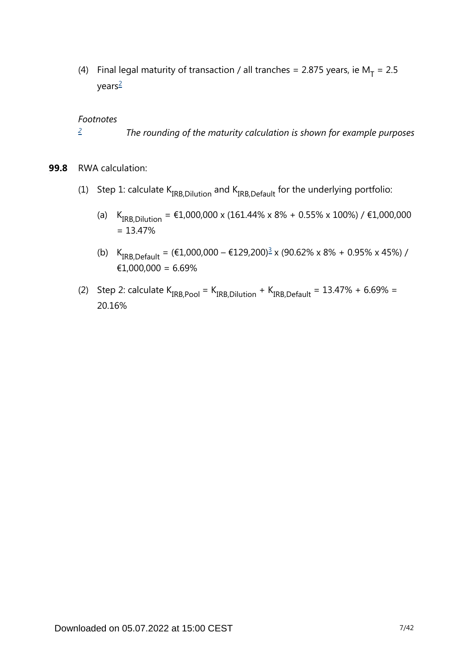<span id="page-6-1"></span>(4) Final legal maturity of transaction / all tranches = 2.875 years, ie  $M_T = 2.5$ years[2](#page-6-0)

#### *Footnotes*

- *The rounding of the maturity calculation is shown for example purposes [2](#page-6-1)*
- <span id="page-6-2"></span><span id="page-6-0"></span>**99.8** RWA calculation:
	- (1) Step 1: calculate  $K_{IRB. Dilution}$  and  $K_{IRB.Default}$  for the underlying portfolio:
		- (a)  $K_{IRB, Dilution} = \text{\textsterling}1,000,000 \times (161.44\% \times 8\% + 0.55\% \times 100\%) / \text{\textsterling}1,000,000$  $= 13.47%$
		- (b)  $K_{IRB,Default} = (\text{\textsterling}1,000,000 \text{\textsterling}129,200)^{\frac{3}{2}} \times (90.62\% \times 8\% + 0.95\% \times 45\%)$  $K_{IRB,Default} = (\text{\textsterling}1,000,000 \text{\textsterling}129,200)^{\frac{3}{2}} \times (90.62\% \times 8\% + 0.95\% \times 45\%)$  $K_{IRB,Default} = (\text{\textsterling}1,000,000 \text{\textsterling}129,200)^{\frac{3}{2}} \times (90.62\% \times 8\% + 0.95\% \times 45\%)$  / €1,000,000 = 6.69%
	- (2) Step 2: calculate  $K_{IRB,Pool} = K_{IRB, Dilution} + K_{IRB,Default} = 13.47\% + 6.69\% =$ 20.16%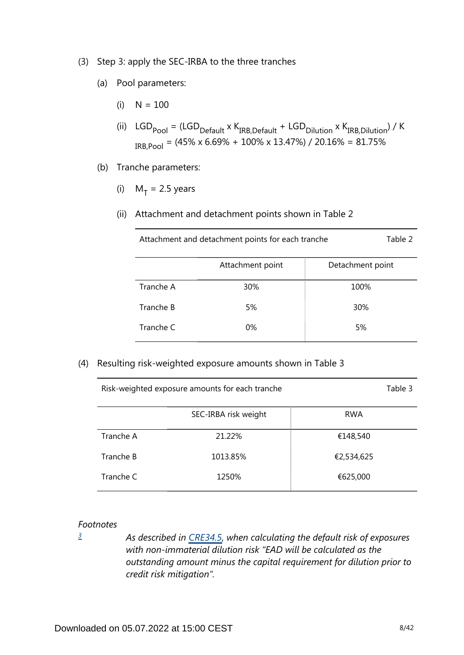- (3) Step 3: apply the SEC-IRBA to the three tranches
	- (a) Pool parameters:
		- $(i)$  N = 100
		- (ii)  $LGD_{\text{pool}} = (LGD_{\text{Default}} \times K_{\text{IRB},\text{Default}} + \text{LGD}_{\text{Dilution}} \times K_{\text{IRB},\text{Dilution}}) / K$  $_{IRB,Pool}$  = (45% x 6.69% + 100% x 13.47%) / 20.16% = 81.75%
	- (b) Tranche parameters:
		- (i)  $M_T = 2.5$  years
		- (ii) Attachment and detachment points shown in Table 2

| Attachment and detachment points for each tranche |  | Table 2 |
|---------------------------------------------------|--|---------|
|---------------------------------------------------|--|---------|

|           | Attachment point | Detachment point |
|-----------|------------------|------------------|
| Tranche A | 30%              | 100%             |
| Tranche B | 5%               | 30%              |
| Tranche C | 0%               | 5%               |

(4) Resulting risk-weighted exposure amounts shown in Table 3

|           | SEC-IRBA risk weight | <b>RWA</b> |
|-----------|----------------------|------------|
| Tranche A | 21.22%               | €148,540   |
| Tranche B | 1013.85%             | €2,534,625 |
| Tranche C | 1250%                | €625,000   |

Risk-weighted exposure amounts for each tranche Table 3

#### *Footnotes*

<span id="page-7-0"></span>*[3](#page-6-2)*

*As described in [CRE34.5,](https://www.bis.org/basel_framework/chapter/CRE/34.htm?inforce=20230101&published=20201126#paragraph_CRE_34_20230101_34_5) when calculating the default risk of exposures with non-immaterial dilution risk "EAD will be calculated as the outstanding amount minus the capital requirement for dilution prior to credit risk mitigation".*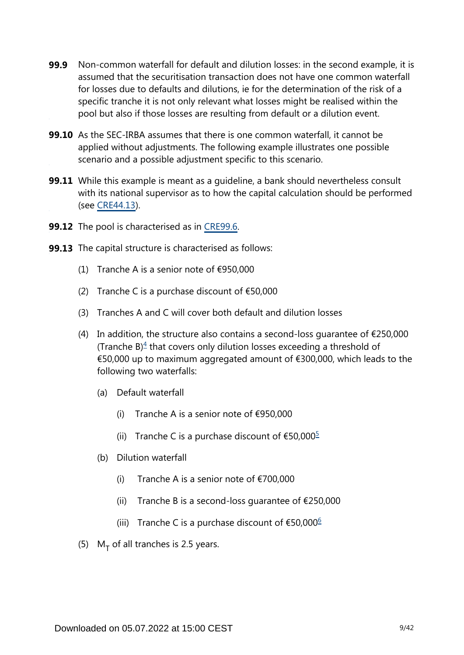- Non-common waterfall for default and dilution losses: in the second example, it is assumed that the securitisation transaction does not have one common waterfall for losses due to defaults and dilutions, ie for the determination of the risk of a specific tranche it is not only relevant what losses might be realised within the pool but also if those losses are resulting from default or a dilution event. **99.9**
- **99.10** As the SEC-IRBA assumes that there is one common waterfall, it cannot be applied without adjustments. The following example illustrates one possible scenario and a possible adjustment specific to this scenario.
- While this example is meant as a guideline, a bank should nevertheless consult **99.11** with its national supervisor as to how the capital calculation should be performed (see [CRE44.13\)](https://www.bis.org/basel_framework/chapter/CRE/44.htm?inforce=20230101&published=20200327#paragraph_CRE_44_20230101_44_13).
- **99.12** The pool is characterised as in [CRE99.6.](https://www.bis.org/basel_framework/chapter/CRE/99.htm?inforce=20230101&published=20200327#paragraph_CRE_99_20230101_99_6)
- <span id="page-8-2"></span><span id="page-8-1"></span><span id="page-8-0"></span>**99.13** The capital structure is characterised as follows:
	- (1) Tranche A is a senior note of  $\epsilon$ 950,000
	- (2) Tranche C is a purchase discount of  $£50,000$
	- (3) Tranches A and C will cover both default and dilution losses
	- (4) In addition, the structure also contains a second-loss quarantee of  $\epsilon$ 250,000 (Tranche  $B$ )<sup> $4$ </sup> that covers only dilution losses exceeding a threshold of €50,000 up to maximum aggregated amount of €300,000, which leads to the following two waterfalls:
		- (a) Default waterfall
			- (i) Tranche A is a senior note of  $\epsilon$ 950,000
			- (ii) Tranche C is a purchase discount of  $\text{\$50,000}^{\text{\$}}$  $\text{\$50,000}^{\text{\$}}$  $\text{\$50,000}^{\text{\$}}$
		- (b) Dilution waterfall
			- (i) Tranche A is a senior note of  $\epsilon$ 700,000
			- (ii) Tranche B is a second-loss quarantee of  $E$ 250,000
			- (iii) Tranche C is a purchase discount of  $€50,000$ <sup>[6](#page-9-2)</sup>
	- (5)  $M_T$  of all tranches is 2.5 years.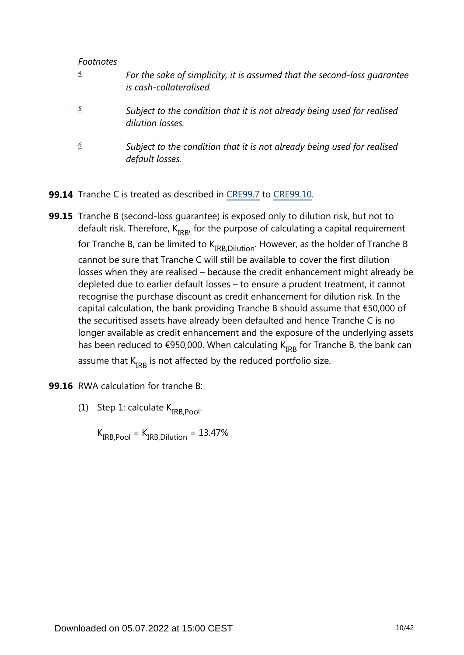#### *Footnotes*

<span id="page-9-1"></span><span id="page-9-0"></span>

| $\boldsymbol{4}$ | For the sake of simplicity, it is assumed that the second-loss quarantee<br>is cash-collateralised. |
|------------------|-----------------------------------------------------------------------------------------------------|
|                  | Subject to the condition that it is not already being used for realised<br>dilution losses.         |
| 6                | Subject to the condition that it is not already being used for realised<br>default losses.          |

- <span id="page-9-2"></span>**99.14** Tranche C is treated as described in [CRE99.7](https://www.bis.org/basel_framework/chapter/CRE/99.htm?inforce=20230101&published=20200327#paragraph_CRE_99_20230101_99_7) to [CRE99.10](https://www.bis.org/basel_framework/chapter/CRE/99.htm?inforce=20230101&published=20200327#paragraph_CRE_99_20230101_99_10).
- **99.15** Tranche B (second-loss guarantee) is exposed only to dilution risk, but not to default risk. Therefore,  $K_{IRB}$ , for the purpose of calculating a capital requirement for Tranche B, can be limited to  $K_{IRB.Dilution}$ . However, as the holder of Tranche B cannot be sure that Tranche C will still be available to cover the first dilution losses when they are realised – because the credit enhancement might already be depleted due to earlier default losses – to ensure a prudent treatment, it cannot recognise the purchase discount as credit enhancement for dilution risk. In the capital calculation, the bank providing Tranche B should assume that €50,000 of the securitised assets have already been defaulted and hence Tranche C is no longer available as credit enhancement and the exposure of the underlying assets has been reduced to €950,000. When calculating  $K_{IRR}$  for Tranche B, the bank can assume that  $K_{IRR}$  is not affected by the reduced portfolio size.
- **99.16** RWA calculation for tranche B:
	- (1) Step 1: calculate  $K_{IRB.Pool}$ .

 $K_{IRB,Pool} = K_{IRB. Dilution} = 13.47\%$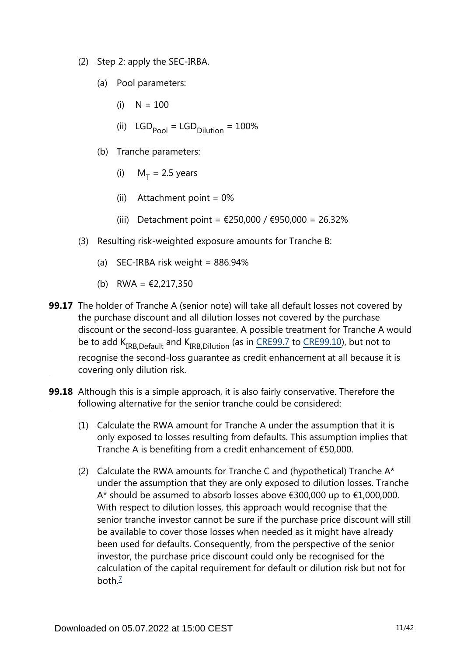- (2) Step 2: apply the SEC-IRBA.
	- (a) Pool parameters:
		- $(i)$  N = 100
		- (ii)  $LGD_{\text{Pool}} = LGD_{\text{Dilution}} = 100\%$
	- (b) Tranche parameters:
		- (i)  $M_T = 2.5$  years
		- (ii) Attachment point  $= 0\%$
		- (iii) Detachment point = €250,000 / €950,000 = 26.32%
- (3) Resulting risk-weighted exposure amounts for Tranche B:
	- (a) SEC-IRBA risk weight =  $886.94\%$
	- (b) RWA =  $\text{\textsterling}2,217,350$
- **99.17** The holder of Tranche A (senior note) will take all default losses not covered by the purchase discount and all dilution losses not covered by the purchase discount or the second-loss guarantee. A possible treatment for Tranche A would beto add  $K_{IRR\,Default}$  and  $K_{IRR\,Dilution}$  (as in CRE99.7 to CRE99.10), but not to recognise the second-loss guarantee as credit enhancement at all because it is covering only dilution risk.
- <span id="page-10-0"></span>**99.18** Although this is a simple approach, it is also fairly conservative. Therefore the following alternative for the senior tranche could be considered:
	- (1) Calculate the RWA amount for Tranche A under the assumption that it is only exposed to losses resulting from defaults. This assumption implies that Tranche A is benefiting from a credit enhancement of €50,000.
	- (2) Calculate the RWA amounts for Tranche C and (hypothetical) Tranche  $A^*$ under the assumption that they are only exposed to dilution losses. Tranche A\* should be assumed to absorb losses above €300,000 up to €1,000,000. With respect to dilution losses, this approach would recognise that the senior tranche investor cannot be sure if the purchase price discount will still be available to cover those losses when needed as it might have already been used for defaults. Consequently, from the perspective of the senior investor, the purchase price discount could only be recognised for the calculation of the capital requirement for default or dilution risk but not for both $\frac{7}{2}$  $\frac{7}{2}$  $\frac{7}{2}$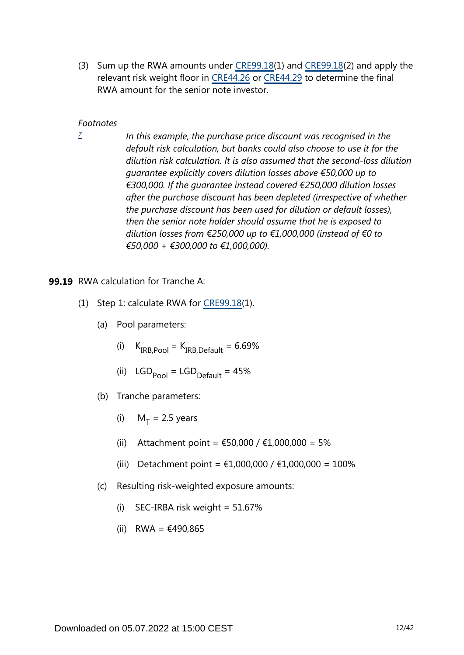(3) Sum up the RWA amounts under [CRE99.18](https://www.bis.org/basel_framework/chapter/CRE/99.htm?inforce=20230101&published=20200327#paragraph_CRE_99_20230101_99_18)(1) and [CRE99.18\(](https://www.bis.org/basel_framework/chapter/CRE/99.htm?inforce=20230101&published=20200327#paragraph_CRE_99_20230101_99_18)2) and apply the relevant risk weight floor in [CRE44.26](https://www.bis.org/basel_framework/chapter/CRE/44.htm?inforce=20230101&published=20200327#paragraph_CRE_44_20230101_44_26) or [CRE44.29](https://www.bis.org/basel_framework/chapter/CRE/44.htm?inforce=20230101&published=20200327#paragraph_CRE_44_20230101_44_29) to determine the final RWA amount for the senior note investor.

#### *Footnotes*

<span id="page-11-0"></span>*[7](#page-10-0)*

*In this example, the purchase price discount was recognised in the default risk calculation, but banks could also choose to use it for the dilution risk calculation. It is also assumed that the second-loss dilution guarantee explicitly covers dilution losses above €50,000 up to €300,000. If the guarantee instead covered €250,000 dilution losses after the purchase discount has been depleted (irrespective of whether the purchase discount has been used for dilution or default losses), then the senior note holder should assume that he is exposed to dilution losses from €250,000 up to €1,000,000 (instead of €0 to €50,000 + €300,000 to €1,000,000).*

#### **99.19** RWA calculation for Tranche A:

- (1) Step 1: calculate RWA for [CRE99.18](https://www.bis.org/basel_framework/chapter/CRE/99.htm?inforce=20230101&published=20200327#paragraph_CRE_99_20230101_99_18)(1).
	- (a) Pool parameters:
		- (i)  $K_{IRB,Pool} = K_{IRB,Default} = 6.69\%$
		- (ii)  $LGD_{pool} = LGD_{Default} = 45%$
	- (b) Tranche parameters:
		- (i)  $M_T = 2.5$  years
		- (ii) Attachment point =  $€50,000 / €1,000,000 = 5%$
		- (iii) Detachment point = €1,000,000 / €1,000,000 = 100%
	- (c) Resulting risk-weighted exposure amounts:
		- (i) SEC-IRBA risk weight =  $51.67\%$
		- (ii) RWA = €490,865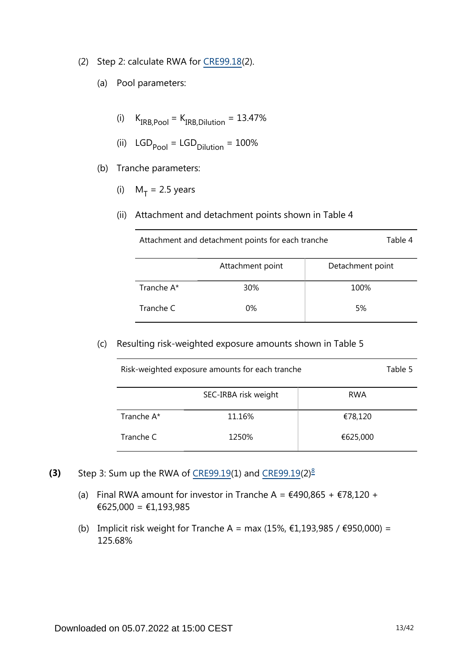- (2) Step 2: calculate RWA for [CRE99.18](https://www.bis.org/basel_framework/chapter/CRE/99.htm?inforce=20230101&published=20200327#paragraph_CRE_99_20230101_99_18)(2).
	- (a) Pool parameters:
		- (i)  $K_{IRB,Pool} = K_{IRB,Dilution} = 13.47\%$
		- (ii)  $LGD_{pool} = LGD_{Dilution} = 100%$
	- (b) Tranche parameters:
		- (i)  $M_T = 2.5$  years
		- (ii) Attachment and detachment points shown in Table 4

| Attachment and detachment points for each tranche | Table 4 |
|---------------------------------------------------|---------|
|                                                   |         |

|            | Attachment point | Detachment point |
|------------|------------------|------------------|
| Tranche A* | 30%              | 100%             |
| Tranche C  | 0%               | 5%               |

(c) Resulting risk-weighted exposure amounts shown in Table 5

| Risk-weighted exposure amounts for each tranche |                      |            |  |  |  |  |
|-------------------------------------------------|----------------------|------------|--|--|--|--|
|                                                 | SEC-IRBA risk weight | <b>RWA</b> |  |  |  |  |
| Tranche A*                                      | 11.16%               | €78,120    |  |  |  |  |
| Tranche C                                       | 1250%                | €625,000   |  |  |  |  |

- <span id="page-12-0"></span>Step 3: Sum up the RWA of [CRE99.19](https://www.bis.org/basel_framework/chapter/CRE/99.htm?inforce=20230101&published=20200327#paragraph_CRE_99_20230101_99_19)(1) and [CRE99.19\(](https://www.bis.org/basel_framework/chapter/CRE/99.htm?inforce=20230101&published=20200327#paragraph_CRE_99_20230101_99_19)2) $\frac{8}{3}$  $\frac{8}{3}$  $\frac{8}{3}$ **(3)**
	- (a) Final RWA amount for investor in Tranche A =  $\text{\textsterling}490,865 + \text{\textsterling}78,120 +$ €625,000 = €1,193,985
	- (b) Implicit risk weight for Tranche A = max (15%,  $€1,193,985 / €950,000) =$ 125.68%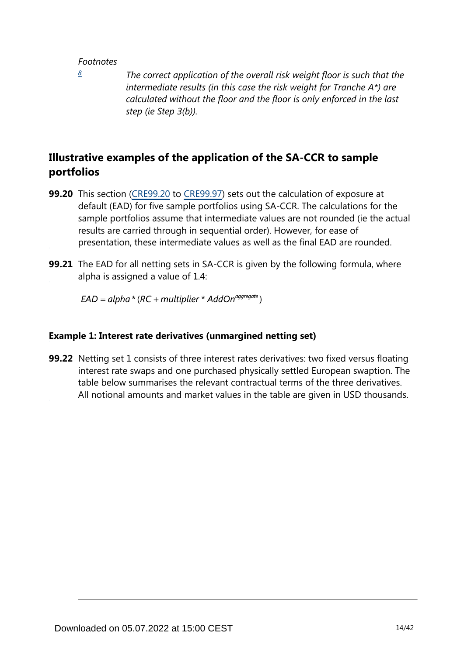#### *Footnotes*

<span id="page-13-0"></span>*[8](#page-12-0)*

*The correct application of the overall risk weight floor is such that the intermediate results (in this case the risk weight for Tranche A\*) are calculated without the floor and the floor is only enforced in the last step (ie Step 3(b)).*

## **Illustrative examples of the application of the SA-CCR to sample portfolios**

- **99.20** This section [\(CRE99.20](https://www.bis.org/basel_framework/chapter/CRE/99.htm?inforce=20230101&published=20200327#paragraph_CRE_99_20230101_99_20) to [CRE99.97](https://www.bis.org/basel_framework/chapter/CRE/99.htm?inforce=20230101&published=20200327#paragraph_CRE_99_20230101_99_97)) sets out the calculation of exposure at default (EAD) for five sample portfolios using SA-CCR. The calculations for the sample portfolios assume that intermediate values are not rounded (ie the actual results are carried through in sequential order). However, for ease of presentation, these intermediate values as well as the final EAD are rounded.
- **99.21** The EAD for all netting sets in SA-CCR is given by the following formula, where alpha is assigned a value of 1.4:

 $EAD = alpha * (RC + multiplier * AddOn<sup>aggregate</sup>)$ 

#### **Example 1: Interest rate derivatives (unmargined netting set)**

**99.22** Netting set 1 consists of three interest rates derivatives: two fixed versus floating interest rate swaps and one purchased physically settled European swaption. The table below summarises the relevant contractual terms of the three derivatives. All notional amounts and market values in the table are given in USD thousands.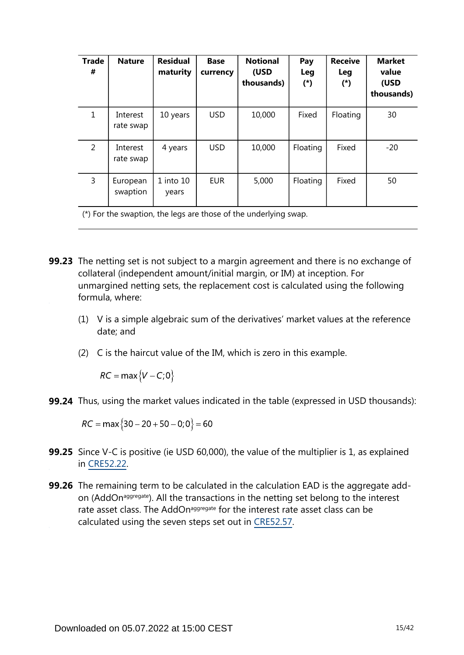| <b>Trade</b><br># | <b>Nature</b>         | <b>Residual</b><br>maturity | <b>Base</b><br>currency | <b>Notional</b><br>(USD<br>thousands) | Pay<br><b>Leg</b><br>$(*)$ | <b>Receive</b><br>Leg<br>$(*)$ | <b>Market</b><br>value<br>(USD<br>thousands) |
|-------------------|-----------------------|-----------------------------|-------------------------|---------------------------------------|----------------------------|--------------------------------|----------------------------------------------|
| $\mathbf{1}$      | Interest<br>rate swap | 10 years                    | <b>USD</b>              | 10,000                                | Fixed                      | Floating                       | 30                                           |
| 2                 | Interest<br>rate swap | 4 years                     | <b>USD</b>              | 10,000                                | Floating                   | Fixed                          | $-20$                                        |
| 3                 | European<br>swaption  | $1$ into $10$<br>years      | <b>EUR</b>              | 5,000                                 | Floating                   | Fixed                          | 50                                           |

(\*) For the swaption, the legs are those of the underlying swap.

- **99.23** The netting set is not subject to a margin agreement and there is no exchange of collateral (independent amount/initial margin, or IM) at inception. For unmargined netting sets, the replacement cost is calculated using the following formula, where:
	- (1) V is a simple algebraic sum of the derivatives' market values at the reference date; and
	- (2) C is the haircut value of the IM, which is zero in this example.

 $RC = \max\{V - C; 0\}$ 

**99.24** Thus, using the market values indicated in the table (expressed in USD thousands):

 $RC = \max\{30 - 20 + 50 - 0, 0\} = 60$ 

- **99.25** Since V-C is positive (ie USD 60,000), the value of the multiplier is 1, as explained in [CRE52.22](https://www.bis.org/basel_framework/chapter/CRE/52.htm?inforce=20230101&published=20200605#paragraph_CRE_52_20230101_52_22).
- **99.26** The remaining term to be calculated in the calculation EAD is the aggregate addon (AddOn<sup>aggregate</sup>). All the transactions in the netting set belong to the interest rate asset class. The AddOn<sup>aggregate</sup> for the interest rate asset class can be calculated using the seven steps set out in [CRE52.57](https://www.bis.org/basel_framework/chapter/CRE/52.htm?inforce=20230101&published=20200605#paragraph_CRE_52_20230101_52_57).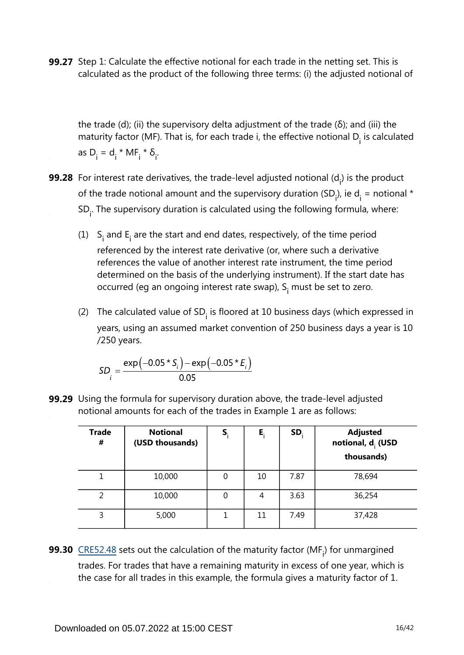**99.27** Step 1: Calculate the effective notional for each trade in the netting set. This is calculated as the product of the following three terms: (i) the adjusted notional of

the trade (d); (ii) the supervisory delta adjustment of the trade (δ); and (iii) the maturity factor (MF). That is, for each trade i, the effective notional  $D_i$  is calculated as  $D_i = d_i * MF_i * \delta_i$ .

- **99.28** For interest rate derivatives, the trade-level adjusted notional (d<sub>i</sub>) is the product of the trade notional amount and the supervisory duration (SD<sub>i</sub>), ie d<sub>i</sub> = notional \*  $SD<sub>i</sub>$ . The supervisory duration is calculated using the following formula, where:
	- (1) S<sub>i</sub> and E<sub>i</sub> are the start and end dates, respectively, of the time period referenced by the interest rate derivative (or, where such a derivative references the value of another interest rate instrument, the time period determined on the basis of the underlying instrument). If the start date has occurred (eg an ongoing interest rate swap),  $S<sub>i</sub>$  must be set to zero.
	- (2) The calculated value of  $SD<sub>i</sub>$  is floored at 10 business days (which expressed in years, using an assumed market convention of 250 business days a year is 10 /250 years.

$$
SD_i = \frac{\exp(-0.05 \times S_i) - \exp(-0.05 \times E_i)}{0.05}
$$

**99.29** Using the formula for supervisory duration above, the trade-level adjusted notional amounts for each of the trades in Example 1 are as follows:

| <b>Trade</b><br># | <b>Notional</b><br>(USD thousands) | S, | Е, | SD.  | <b>Adjusted</b><br>notional, d <sub>i</sub> (USD<br>thousands) |
|-------------------|------------------------------------|----|----|------|----------------------------------------------------------------|
|                   | 10,000                             | 0  | 10 | 7.87 | 78,694                                                         |
| 2                 | 10,000                             | 0  | 4  | 3.63 | 36,254                                                         |
| 3                 | 5,000                              |    | 11 | 7.49 | 37,428                                                         |

**99.30**  $\frac{\text{CRE52.48}}{\text{Sets}}$  $\frac{\text{CRE52.48}}{\text{Sets}}$  $\frac{\text{CRE52.48}}{\text{Sets}}$  sets out the calculation of the maturity factor (MF<sub>i</sub>) for unmargined trades. For trades that have a remaining maturity in excess of one year, which is the case for all trades in this example, the formula gives a maturity factor of 1.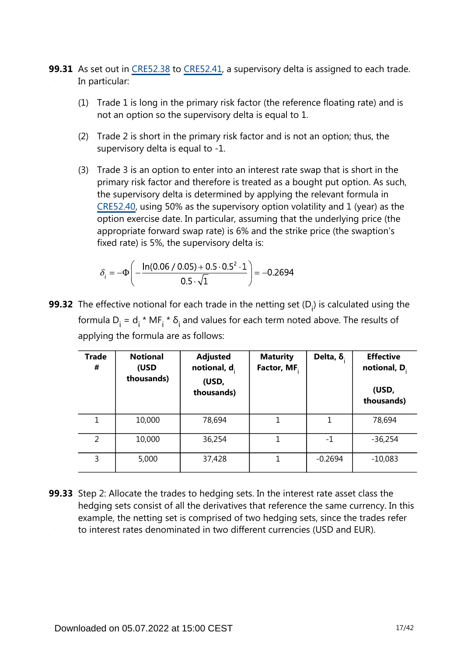- **99.31** As set out in [CRE52.38](https://www.bis.org/basel_framework/chapter/CRE/52.htm?inforce=20230101&published=20200605#paragraph_CRE_52_20230101_52_38) to [CRE52.41](https://www.bis.org/basel_framework/chapter/CRE/52.htm?inforce=20230101&published=20200605#paragraph_CRE_52_20230101_52_41), a supervisory delta is assigned to each trade. In particular:
	- (1) Trade 1 is long in the primary risk factor (the reference floating rate) and is not an option so the supervisory delta is equal to 1.
	- (2) Trade 2 is short in the primary risk factor and is not an option; thus, the supervisory delta is equal to -1.
	- (3) Trade 3 is an option to enter into an interest rate swap that is short in the primary risk factor and therefore is treated as a bought put option. As such, the supervisory delta is determined by applying the relevant formula in [CRE52.40,](https://www.bis.org/basel_framework/chapter/CRE/52.htm?inforce=20230101&published=20200605#paragraph_CRE_52_20230101_52_40) using 50% as the supervisory option volatility and 1 (year) as the option exercise date. In particular, assuming that the underlying price (the appropriate forward swap rate) is 6% and the strike price (the swaption's fixed rate) is 5%, the supervisory delta is:

$$
\delta_i = -\Phi \left( -\frac{\ln(0.06 / 0.05) + 0.5 \cdot 0.5^2 \cdot 1}{0.5 \cdot \sqrt{1}} \right) = -0.2694
$$

**99.32** The effective notional for each trade in the netting set (D<sub>i</sub>) is calculated using the formula  $D_i = d_i * MF_i * \delta_i$  and values for each term noted above. The results of applying the formula are as follows:

| <b>Trade</b><br># | <b>Notional</b><br>(USD<br>thousands) | <b>Adjusted</b><br>notional, $d_i$<br>(USD,<br>thousands) | <b>Maturity</b><br>Factor, MF. | Delta, $\delta$ . | <b>Effective</b><br>notional, $D_i$<br>(USD,<br>thousands) |
|-------------------|---------------------------------------|-----------------------------------------------------------|--------------------------------|-------------------|------------------------------------------------------------|
| 1                 | 10,000                                | 78,694                                                    |                                | 1                 | 78,694                                                     |
| 2                 | 10,000                                | 36,254                                                    | 1                              | $-1$              | $-36,254$                                                  |
| 3                 | 5,000                                 | 37,428                                                    | 1                              | $-0.2694$         | $-10,083$                                                  |

**99.33** Step 2: Allocate the trades to hedging sets. In the interest rate asset class the hedging sets consist of all the derivatives that reference the same currency. In this example, the netting set is comprised of two hedging sets, since the trades refer to interest rates denominated in two different currencies (USD and EUR).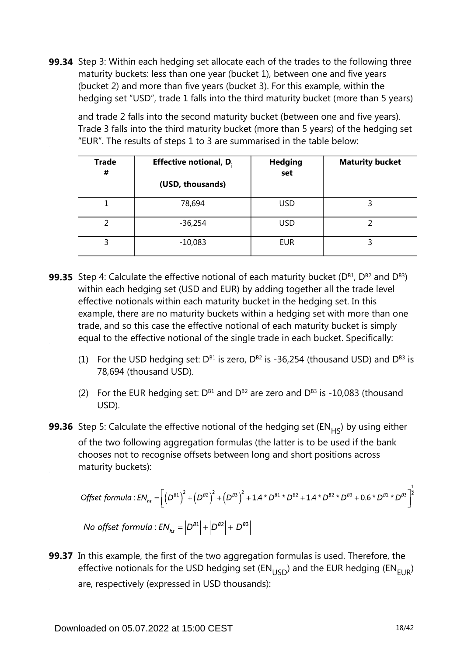**99.34** Step 3: Within each hedging set allocate each of the trades to the following three maturity buckets: less than one year (bucket 1), between one and five years (bucket 2) and more than five years (bucket 3). For this example, within the hedging set "USD", trade 1 falls into the third maturity bucket (more than 5 years)

and trade 2 falls into the second maturity bucket (between one and five years). Trade 3 falls into the third maturity bucket (more than 5 years) of the hedging set "EUR". The results of steps 1 to 3 are summarised in the table below:

| <b>Trade</b><br># | <b>Effective notional, D.</b> | <b>Hedging</b><br>set | <b>Maturity bucket</b> |
|-------------------|-------------------------------|-----------------------|------------------------|
|                   | (USD, thousands)              |                       |                        |
|                   | 78,694                        | <b>USD</b>            |                        |
| 2                 | $-36,254$                     | <b>USD</b>            |                        |
| 3                 | $-10,083$                     | <b>EUR</b>            |                        |

- **99.35** Step 4: Calculate the effective notional of each maturity bucket (D<sup>B1</sup>, D<sup>B2</sup> and D<sup>B3</sup>) within each hedging set (USD and EUR) by adding together all the trade level effective notionals within each maturity bucket in the hedging set. In this example, there are no maturity buckets within a hedging set with more than one trade, and so this case the effective notional of each maturity bucket is simply equal to the effective notional of the single trade in each bucket. Specifically:
	- (1) For the USD hedging set:  $D^{B1}$  is zero,  $D^{B2}$  is -36,254 (thousand USD) and  $D^{B3}$  is 78,694 (thousand USD).
	- (2) For the EUR hedging set:  $D^{B1}$  and  $D^{B2}$  are zero and  $D^{B3}$  is -10,083 (thousand USD).
- **99.36** Step 5: Calculate the effective notional of the hedging set (EN<sub>HS</sub>) by using either of the two following aggregation formulas (the latter is to be used if the bank chooses not to recognise offsets between long and short positions across maturity buckets):

$$
\text{Offset formula}: \text{EN}_{hs} = \left[ \left( D^{B1} \right)^2 + \left( D^{B2} \right)^2 + \left( D^{B3} \right)^2 + 1.4 \times D^{B1} \times D^{B2} + 1.4 \times D^{B2} \times D^{B3} + 0.6 \times D^{B1} \times D^{B3} \right]^{\frac{1}{2}}
$$
\n
$$
\text{N}_{1} = \left[ C_{1} \times C_{2} \times D^{B1} \times D^{B1} \right] \times D^{B2} \times D^{B3} \times D^{B3}
$$

No offset formula :  $EN_{hs} = |D^{B1}| + |D^{B2}| + |D^{B3}|$ 

**99.37** In this example, the first of the two aggregation formulas is used. Therefore, the effective notionals for the USD hedging set ( $EN_{LISD}$ ) and the EUR hedging ( $EN_{EIB}$ ) are, respectively (expressed in USD thousands):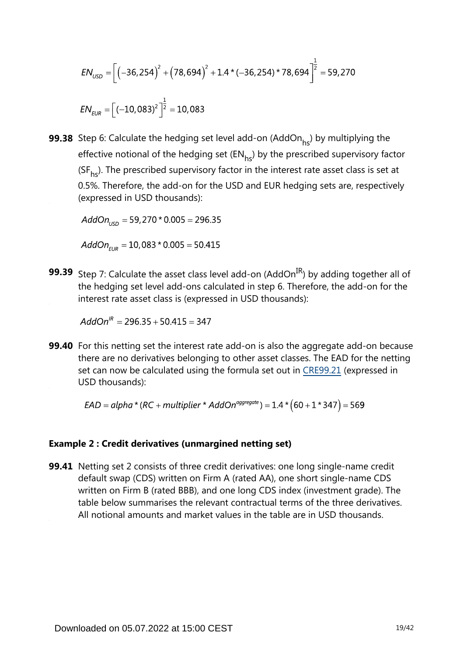$$
EN_{USD} = \left[ \left( -36, 254 \right)^2 + \left( 78, 694 \right)^2 + 1.4 \times \left( -36, 254 \right) \times 78,694 \right]^{\frac{1}{2}} = 59,270
$$
\n
$$
EN_{EUR} = \left[ \left( -10, 083 \right)^2 \right]^{\frac{1}{2}} = 10,083
$$

**99.38** Step 6: Calculate the hedging set level add-on (AddOn<sub>hs</sub>) by multiplying the effective notional of the hedging set  $(EN_{hs})$  by the prescribed supervisory factor ( $SF<sub>hs</sub>$ ). The prescribed supervisory factor in the interest rate asset class is set at 0.5%. Therefore, the add-on for the USD and EUR hedging sets are, respectively (expressed in USD thousands):

 $AddOn_{\text{USD}} = 59,270 * 0.005 = 296.35$ 

 $AddOn_{EUR} = 10,083 * 0.005 = 50.415$ 

**99.39** Step 7: Calculate the asset class level add-on (AddOn<sup>IR</sup>) by adding together all of the hedging set level add-ons calculated in step 6. Therefore, the add-on for the interest rate asset class is (expressed in USD thousands):

 $AddOn^{IR} = 296.35 + 50.415 = 347$ 

**99.40** For this netting set the interest rate add-on is also the aggregate add-on because there are no derivatives belonging to other asset classes. The EAD for the netting set can now be calculated using the formula set out in [CRE99.21](https://www.bis.org/basel_framework/chapter/CRE/99.htm?inforce=20230101&published=20200327#paragraph_CRE_99_20230101_99_21) (expressed in USD thousands):

 $EAD = alpha * (RC + multiplier * AddOn<sup>aggregate</sup>) = 1.4 * (60 + 1 * 347) = 569$ 

#### **Example 2 : Credit derivatives (unmargined netting set)**

**99.41** Netting set 2 consists of three credit derivatives: one long single-name credit default swap (CDS) written on Firm A (rated AA), one short single-name CDS written on Firm B (rated BBB), and one long CDS index (investment grade). The table below summarises the relevant contractual terms of the three derivatives. All notional amounts and market values in the table are in USD thousands.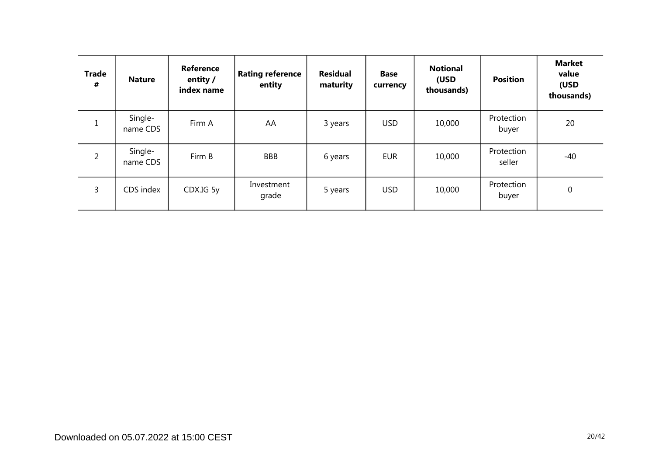| <b>Trade</b><br># | <b>Nature</b>       | Reference<br>entity /<br>index name | <b>Rating reference</b><br>entity | <b>Residual</b><br>maturity | <b>Base</b><br>currency | <b>Notional</b><br>(USD<br>thousands) | <b>Position</b>      | <b>Market</b><br>value<br>(USD<br>thousands) |
|-------------------|---------------------|-------------------------------------|-----------------------------------|-----------------------------|-------------------------|---------------------------------------|----------------------|----------------------------------------------|
| $\mathbf{1}$      | Single-<br>name CDS | Firm A                              | AA                                | 3 years                     | <b>USD</b>              | 10,000                                | Protection<br>buyer  | 20                                           |
| $\overline{2}$    | Single-<br>name CDS | Firm B                              | <b>BBB</b>                        | 6 years                     | <b>EUR</b>              | 10,000                                | Protection<br>seller | -40                                          |
| 3                 | CDS index           | CDX.IG 5y                           | Investment<br>grade               | 5 years                     | <b>USD</b>              | 10,000                                | Protection<br>buyer  | 0                                            |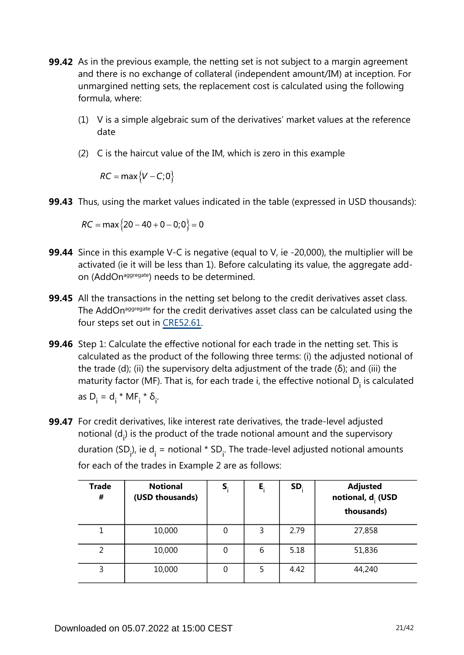- **99.42** As in the previous example, the netting set is not subject to a margin agreement and there is no exchange of collateral (independent amount/IM) at inception. For unmargined netting sets, the replacement cost is calculated using the following formula, where:
	- (1) V is a simple algebraic sum of the derivatives' market values at the reference date
	- (2) C is the haircut value of the IM, which is zero in this example

 $RC = \max\{V - C; 0\}$ 

**99.43** Thus, using the market values indicated in the table (expressed in USD thousands):

 $RC = \max\{20 - 40 + 0 - 0;0\} = 0$ 

- **99.44** Since in this example V-C is negative (equal to V, ie -20,000), the multiplier will be activated (ie it will be less than 1). Before calculating its value, the aggregate addon (AddOn<sup>aggregate</sup>) needs to be determined.
- **99.45** All the transactions in the netting set belong to the credit derivatives asset class. The AddOn<sup>aggregate</sup> for the credit derivatives asset class can be calculated using the four steps set out in [CRE52.61.](https://www.bis.org/basel_framework/chapter/CRE/52.htm?inforce=20230101&published=20200605#paragraph_CRE_52_20230101_52_61)
- **99.46** Step 1: Calculate the effective notional for each trade in the netting set. This is calculated as the product of the following three terms: (i) the adjusted notional of the trade (d); (ii) the supervisory delta adjustment of the trade (δ); and (iii) the maturity factor (MF). That is, for each trade i, the effective notional  $D_i$  is calculated as  $D_i = d_i * MF_i * \delta_i$ .
- **99.47** For credit derivatives, like interest rate derivatives, the trade-level adjusted notional  $(d_i)$  is the product of the trade notional amount and the supervisory duration (SD<sub>i</sub>), ie d<sub>i</sub> = notional \* SD<sub>i</sub>. The trade-level adjusted notional amounts for each of the trades in Example 2 are as follows:

| <b>Trade</b><br># | <b>Notional</b><br>(USD thousands) | S | E, | SD.  | <b>Adjusted</b><br>notional, d <sub>i</sub> (USD<br>thousands) |
|-------------------|------------------------------------|---|----|------|----------------------------------------------------------------|
|                   | 10,000                             | 0 | 3  | 2.79 | 27,858                                                         |
|                   | 10,000                             | 0 | 6  | 5.18 | 51,836                                                         |
| 3                 | 10,000                             | 0 | 5  | 4.42 | 44,240                                                         |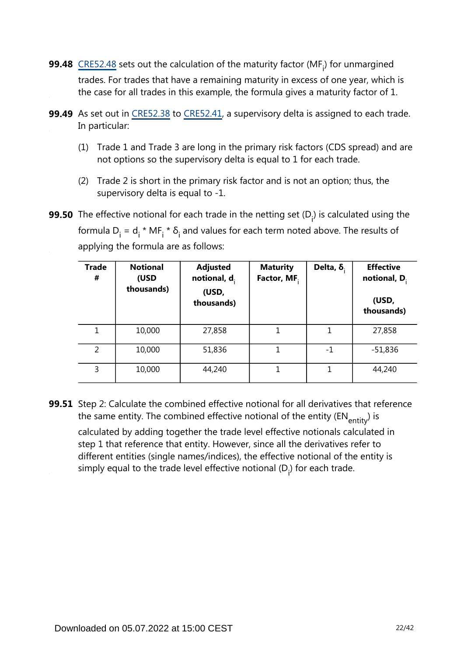- **99.48**  $\frac{\text{CRE52.48}}{\text{Sets}}$  $\frac{\text{CRE52.48}}{\text{Sets}}$  $\frac{\text{CRE52.48}}{\text{Sets}}$  sets out the calculation of the maturity factor (MF<sub>i</sub>) for unmargined trades. For trades that have a remaining maturity in excess of one year, which is the case for all trades in this example, the formula gives a maturity factor of 1.
- **99.49** As set out in [CRE52.38](https://www.bis.org/basel_framework/chapter/CRE/52.htm?inforce=20230101&published=20200605#paragraph_CRE_52_20230101_52_38) to [CRE52.41](https://www.bis.org/basel_framework/chapter/CRE/52.htm?inforce=20230101&published=20200605#paragraph_CRE_52_20230101_52_41), a supervisory delta is assigned to each trade. In particular:
	- (1) Trade 1 and Trade 3 are long in the primary risk factors (CDS spread) and are not options so the supervisory delta is equal to 1 for each trade.
	- (2) Trade 2 is short in the primary risk factor and is not an option; thus, the supervisory delta is equal to -1.
- **99.50** The effective notional for each trade in the netting set (D<sub>i</sub>) is calculated using the formula  $D_i = d_i * MF_i * \delta_i$  and values for each term noted above. The results of applying the formula are as follows:

| <b>Trade</b><br># | <b>Notional</b><br>(USD<br>thousands) | <b>Adjusted</b><br>notional, $d_i$<br>(USD,<br>thousands) | <b>Maturity</b><br>Factor, MF. | Delta, $\delta$ . | <b>Effective</b><br>notional, $D_i$<br>(USD,<br>thousands) |
|-------------------|---------------------------------------|-----------------------------------------------------------|--------------------------------|-------------------|------------------------------------------------------------|
| 1                 | 10,000                                | 27,858                                                    | 1                              | 1                 | 27,858                                                     |
| $\overline{2}$    | 10,000                                | 51,836                                                    |                                | $-1$              | $-51,836$                                                  |
| 3                 | 10,000                                | 44,240                                                    |                                | 1                 | 44,240                                                     |

**99.51** Step 2: Calculate the combined effective notional for all derivatives that reference the same entity. The combined effective notional of the entity ( $EN_{\text{entity}}$ ) is

calculated by adding together the trade level effective notionals calculated in step 1 that reference that entity. However, since all the derivatives refer to different entities (single names/indices), the effective notional of the entity is simply equal to the trade level effective notional  $(D_i)$  for each trade.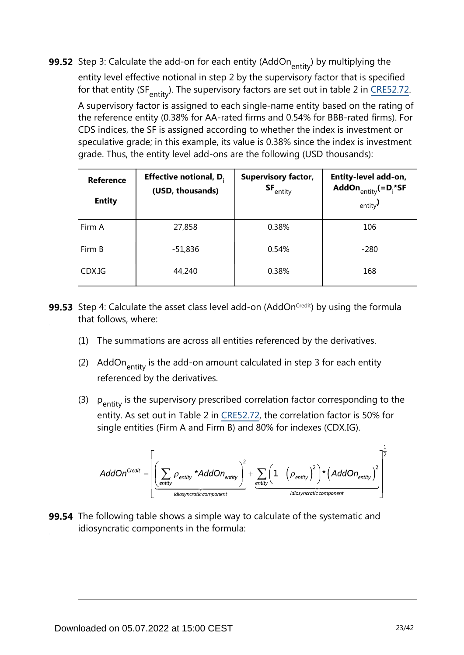**99.52** Step 3: Calculate the add-on for each entity (AddOn<sub>entity</sub>) by multiplying the entity level effective notional in step 2 by the supervisory factor that is specified for that entity (SF $_{\text{entity}}$ )[.](https://www.bis.org/basel_framework/chapter/CRE/52.htm?inforce=20230101&published=20200605#paragraph_CRE_52_20230101_52_72) The supervisory factors are set out in table 2 in CRE52.72. A supervisory factor is assigned to each single-name entity based on the rating of the reference entity (0.38% for AA-rated firms and 0.54% for BBB-rated firms). For CDS indices, the SF is assigned according to whether the index is investment or speculative grade; in this example, its value is 0.38% since the index is investment grade. Thus, the entity level add-ons are the following (USD thousands):

| Reference<br><b>Entity</b> | <b>Effective notional, D.</b><br>(USD, thousands) | <b>Supervisory factor,</b><br>$SF_{\text{entity}}$ | Entity-level add-on,<br>AddOn $_{\text{entity}} (=D_i^* S F)$<br>entity $\overline{J}$ |
|----------------------------|---------------------------------------------------|----------------------------------------------------|----------------------------------------------------------------------------------------|
| Firm A                     | 27,858                                            | 0.38%                                              | 106                                                                                    |
| Firm B                     | $-51,836$                                         | 0.54%                                              | $-280$                                                                                 |
| CDX.IG                     | 44,240                                            | 0.38%                                              | 168                                                                                    |

- **99.53** Step 4: Calculate the asset class level add-on (AddOn<sup>credit</sup>) by using the formula that follows, where:
	- (1) The summations are across all entities referenced by the derivatives.
	- (2) AddOn $_{\text{entity}}$  is the add-on amount calculated in step 3 for each entity referenced by the derivatives.
	- (3)  $\rho_{\text{entity}}$  is the supervisory prescribed correlation factor corresponding to the entity. As set out in Table 2 in [CRE52.72](https://www.bis.org/basel_framework/chapter/CRE/52.htm?inforce=20230101&published=20200605#paragraph_CRE_52_20230101_52_72), the correlation factor is 50% for single entities (Firm A and Firm B) and 80% for indexes (CDX.IG).

$$
AddOn^{Credit} = \left[ \underbrace{\left( \sum_{entity} \rho_{entity} * AddOn_{entity} \right)^2}_{\text{idiosyncratic component}} + \underbrace{\sum_{entity} \left( 1 - \left( \rho_{entity} \right)^2 \right) * \left( AddOn_{entity} \right)^2}_{\text{idiosyncratic component}} \right]^{\frac{1}{2}}
$$

**99.54** The following table shows a simple way to calculate of the systematic and idiosyncratic components in the formula: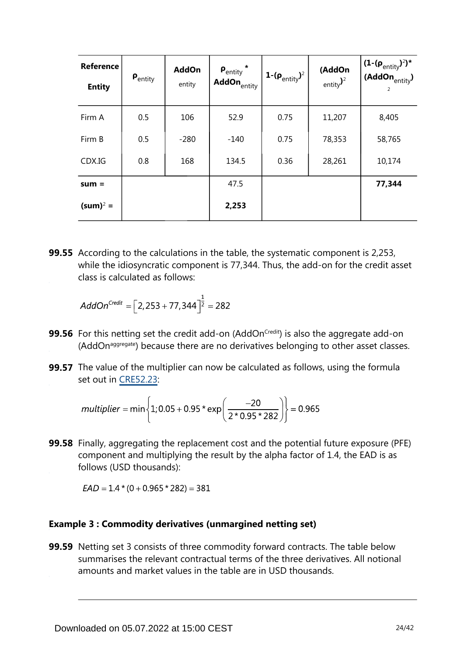| <b>Reference</b><br><b>Entity</b> | $\bm{\mathsf{P}}_\mathsf{entity}$ | <b>AddOn</b><br>entity | $\mathsf{P}_{\mathsf{entity}}$ *<br>AddOn <sub>entity</sub> | 1- $(\rho_{\text{entity}})^2$ | (AddOn<br>entity $)2$ | $(1-(\rho_{entity})^2)^*$<br>(AddOn $_{\text{entity}}$ )<br>2 |
|-----------------------------------|-----------------------------------|------------------------|-------------------------------------------------------------|-------------------------------|-----------------------|---------------------------------------------------------------|
| Firm A                            | 0.5                               | 106                    | 52.9                                                        | 0.75                          | 11,207                | 8,405                                                         |
| Firm B                            | 0.5                               | $-280$                 | $-140$                                                      | 0.75                          | 78,353                | 58,765                                                        |
| CDX.IG                            | 0.8                               | 168                    | 134.5                                                       | 0.36                          | 28,261                | 10,174                                                        |
| $sum =$                           |                                   |                        | 47.5                                                        |                               |                       | 77,344                                                        |
| $(sum)^2 =$                       |                                   |                        | 2,253                                                       |                               |                       |                                                               |

**99.55** According to the calculations in the table, the systematic component is 2,253, while the idiosyncratic component is 77,344. Thus, the add-on for the credit asset class is calculated as follows:

$$
AddOn^{Credit} = \left[2,253 + 77,344\right]^{\frac{1}{2}} = 282
$$

- **99.56** For this netting set the credit add-on (AddOn<sup>credit</sup>) is also the aggregate add-on (AddOn<sup>aggregate</sup>) because there are no derivatives belonging to other asset classes.
- **99.57** The value of the multiplier can now be calculated as follows, using the formula set out in [CRE52.23](https://www.bis.org/basel_framework/chapter/CRE/52.htm?inforce=20230101&published=20200605#paragraph_CRE_52_20230101_52_23):

$$
multiplier = min\left\{1; 0.05 + 0.95 \cdot exp\left(\frac{-20}{2 \cdot 0.95 \cdot 282}\right)\right\} = 0.965
$$

**99.58** Finally, aggregating the replacement cost and the potential future exposure (PFE) component and multiplying the result by the alpha factor of 1.4, the EAD is as follows (USD thousands):

 $EAD = 1.4*(0 + 0.965*282) = 381$ 

#### **Example 3 : Commodity derivatives (unmargined netting set)**

**99.59** Netting set 3 consists of three commodity forward contracts. The table below summarises the relevant contractual terms of the three derivatives. All notional amounts and market values in the table are in USD thousands.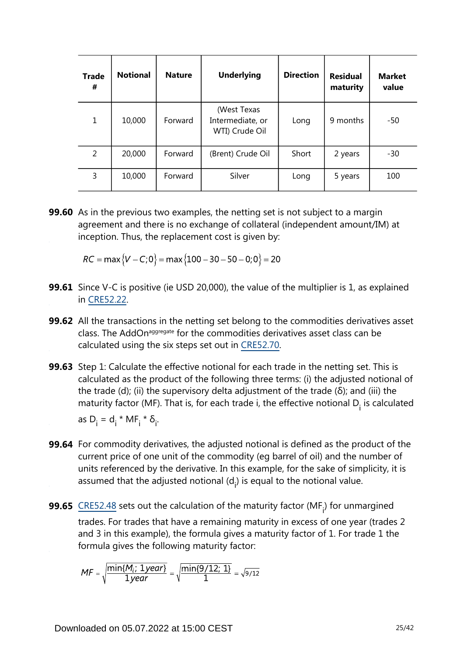| <b>Trade</b><br># | <b>Notional</b> | <b>Nature</b> | <b>Underlying</b>                                 | <b>Direction</b> | <b>Residual</b><br>maturity | <b>Market</b><br>value |
|-------------------|-----------------|---------------|---------------------------------------------------|------------------|-----------------------------|------------------------|
| $\mathbf{1}$      | 10,000          | Forward       | (West Texas<br>Intermediate, or<br>WTI) Crude Oil | Long             | 9 months                    | -50                    |
| 2                 | 20,000          | Forward       | (Brent) Crude Oil                                 | Short            | 2 years                     | -30                    |
| 3                 | 10,000          | Forward       | Silver                                            | Long             | 5 years                     | 100                    |

**99.60** As in the previous two examples, the netting set is not subject to a margin agreement and there is no exchange of collateral (independent amount/IM) at inception. Thus, the replacement cost is given by:

 $RC = \max \{V - C; 0\} = \max \{100 - 30 - 50 - 0; 0\} = 20$ 

- **99.61** Since V-C is positive (ie USD 20,000), the value of the multiplier is 1, as explained in [CRE52.22](https://www.bis.org/basel_framework/chapter/CRE/52.htm?inforce=20230101&published=20200605#paragraph_CRE_52_20230101_52_22).
- **99.62** All the transactions in the netting set belong to the commodities derivatives asset class. The AddOn<sup>aggregate</sup> for the commodities derivatives asset class can be calculated using the six steps set out in [CRE52.70](https://www.bis.org/basel_framework/chapter/CRE/52.htm?inforce=20230101&published=20200605#paragraph_CRE_52_20230101_52_70).
- **99.63** Step 1: Calculate the effective notional for each trade in the netting set. This is calculated as the product of the following three terms: (i) the adjusted notional of the trade (d); (ii) the supervisory delta adjustment of the trade (δ); and (iii) the maturity factor (MF). That is, for each trade i, the effective notional  $D_i$  is calculated as  $D_i = d_i * MF_i * \delta_i$ .
- **99.64** For commodity derivatives, the adjusted notional is defined as the product of the current price of one unit of the commodity (eg barrel of oil) and the number of units referenced by the derivative. In this example, for the sake of simplicity, it is assumed that the adjusted notional  $(d_i)$  is equal to the notional value.
- **99.65**  $\frac{\text{CRE52.48}}{\text{Sets}}$  $\frac{\text{CRE52.48}}{\text{Sets}}$  $\frac{\text{CRE52.48}}{\text{Sets}}$  sets out the calculation of the maturity factor (MF<sub>i</sub>) for unmargined trades. For trades that have a remaining maturity in excess of one year (trades 2 and 3 in this example), the formula gives a maturity factor of 1. For trade 1 the formula gives the following maturity factor:

$$
MF = \sqrt{\frac{\min\{M_i; \ 1year\}}{1year}} = \sqrt{\frac{\min\{9/12; \ 1\}}{1}} = \sqrt{9/12}
$$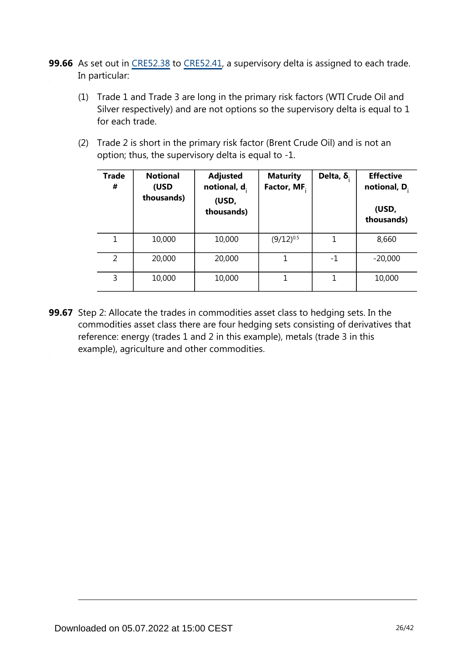- **99.66** As set out in [CRE52.38](https://www.bis.org/basel_framework/chapter/CRE/52.htm?inforce=20230101&published=20200605#paragraph_CRE_52_20230101_52_38) to [CRE52.41](https://www.bis.org/basel_framework/chapter/CRE/52.htm?inforce=20230101&published=20200605#paragraph_CRE_52_20230101_52_41), a supervisory delta is assigned to each trade. In particular:
	- (1) Trade 1 and Trade 3 are long in the primary risk factors (WTI Crude Oil and Silver respectively) and are not options so the supervisory delta is equal to 1 for each trade.
	- (2) Trade 2 is short in the primary risk factor (Brent Crude Oil) and is not an option; thus, the supervisory delta is equal to -1.

| <b>Trade</b><br># | <b>Notional</b><br>(USD<br>thousands) | <b>Adjusted</b><br>notional, $d_i$<br>(USD,<br>thousands) | <b>Maturity</b><br>Factor, MF. | Delta, $\delta$ . | <b>Effective</b><br>notional, D.<br>(USD,<br>thousands) |
|-------------------|---------------------------------------|-----------------------------------------------------------|--------------------------------|-------------------|---------------------------------------------------------|
| 1                 | 10,000                                | 10,000                                                    | $(9/12)^{0.5}$                 |                   | 8,660                                                   |
| 2                 | 20,000                                | 20,000                                                    | 1                              | -1                | $-20,000$                                               |
| 3                 | 10,000                                | 10,000                                                    | 1                              | 1                 | 10,000                                                  |

**99.67** Step 2: Allocate the trades in commodities asset class to hedging sets. In the commodities asset class there are four hedging sets consisting of derivatives that reference: energy (trades 1 and 2 in this example), metals (trade 3 in this example), agriculture and other commodities.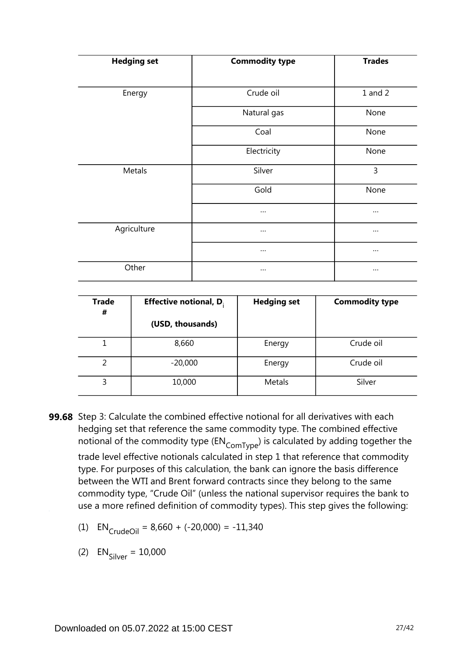| <b>Hedging set</b> | <b>Commodity type</b> | <b>Trades</b> |
|--------------------|-----------------------|---------------|
| Energy             | Crude oil             | $1$ and $2$   |
|                    | Natural gas           | None          |
|                    | Coal                  | None          |
|                    | Electricity           | None          |
| Metals             | Silver                | 3             |
|                    | Gold                  | None          |
|                    | $\cdots$              | $\cdots$      |
| Agriculture        | $\cdots$              | $\cdots$      |
|                    | $\cdots$              | $\cdots$      |
| Other              |                       | $\cdots$      |

| <b>Trade</b><br># | <b>Effective notional, D.</b> | <b>Hedging set</b> | <b>Commodity type</b> |
|-------------------|-------------------------------|--------------------|-----------------------|
|                   | (USD, thousands)              |                    |                       |
|                   | 8,660                         | Energy             | Crude oil             |
|                   | $-20,000$                     | Energy             | Crude oil             |
| 3                 | 10,000                        | Metals             | Silver                |

- **99.68** Step 3: Calculate the combined effective notional for all derivatives with each hedging set that reference the same commodity type. The combined effective notional of the commodity type  $(\text{EN}_{\text{ComType}})$  is calculated by adding together the trade level effective notionals calculated in step 1 that reference that commodity type. For purposes of this calculation, the bank can ignore the basis difference between the WTI and Brent forward contracts since they belong to the same commodity type, "Crude Oil" (unless the national supervisor requires the bank to use a more refined definition of commodity types). This step gives the following:
	- (1)  $EN_{CrudeOil} = 8,660 + (-20,000) = -11,340$

(2)  $EN_{\text{Silyer}} = 10,000$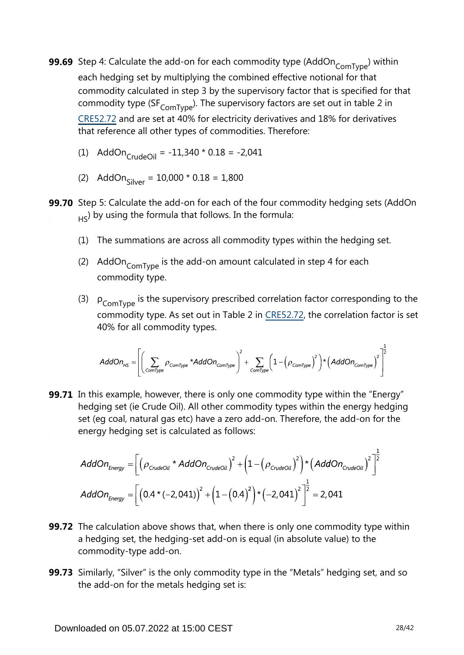- **99.69** Step 4: Calculate the add-on for each commodity type (AddOn<sub>ComType</sub>) within each hedging set by multiplying the combined effective notional for that commodity calculated in step 3 by the supervisory factor that is specified for that commodity type (SF $_{\text{ComType}}$ ). The supervisory factors are set out in table 2 in [CRE52.72](https://www.bis.org/basel_framework/chapter/CRE/52.htm?inforce=20230101&published=20200605#paragraph_CRE_52_20230101_52_72) and are set at 40% for electricity derivatives and 18% for derivatives that reference all other types of commodities. Therefore:
	- (1) AddOn $_{\text{CrudeOil}}$  = -11,340 \* 0.18 = -2,041
	- (2) AddOn<sub>Silver</sub> =  $10,000 * 0.18 = 1,800$
- **99.70** Step 5: Calculate the add-on for each of the four commodity hedging sets (AddOn  $_{\rm H5}$ ) by using the formula that follows. In the formula:
	- (1) The summations are across all commodity types within the hedging set.
	- (2) AddOn $_{\text{ComType}}$  is the add-on amount calculated in step 4 for each commodity type.
	- (3)  $\rho_{\text{ComType}}$  is the supervisory prescribed correlation factor corresponding to the commodity type. As set out in Table 2 in [CRE52.72,](https://www.bis.org/basel_framework/chapter/CRE/52.htm?inforce=20230101&published=20200605#paragraph_CRE_52_20230101_52_72) the correlation factor is set 40% for all commodity types.

$$
AddOn_{HS} = \left[\left(\sum_{ComType} \rho_{ComType} * AddOn_{ComType}\right)^2 + \sum_{ComType} \left(1 - \left(\rho_{ComType}\right)^2\right) * \left(AddOn_{ComType}\right)^2\right]^{\frac{1}{2}}
$$

**99.71** In this example, however, there is only one commodity type within the "Energy" hedging set (ie Crude Oil). All other commodity types within the energy hedging set (eg coal, natural gas etc) have a zero add-on. Therefore, the add-on for the energy hedging set is calculated as follows:

$$
AddOn_{Energy} = \left[ \left( \rho_{\text{CrudeOil}} \cdot AddOn_{\text{Crude Oil}} \right)^2 + \left( 1 - \left( \rho_{\text{Crude Oil}} \right)^2 \right) \cdot \left( AddOn_{\text{Crude Oil}} \right)^2 \right]^{\frac{1}{2}}
$$
  

$$
AddOn_{\text{Energy}} = \left[ \left( 0.4 \cdot (-2,041) \right)^2 + \left( 1 - \left( 0.4 \right)^2 \right) \cdot \left( -2,041 \right)^2 \right]^{\frac{1}{2}} = 2,041
$$

- **99.72** The calculation above shows that, when there is only one commodity type within a hedging set, the hedging-set add-on is equal (in absolute value) to the commodity-type add-on.
- **99.73** Similarly, "Silver" is the only commodity type in the "Metals" hedging set, and so the add-on for the metals hedging set is: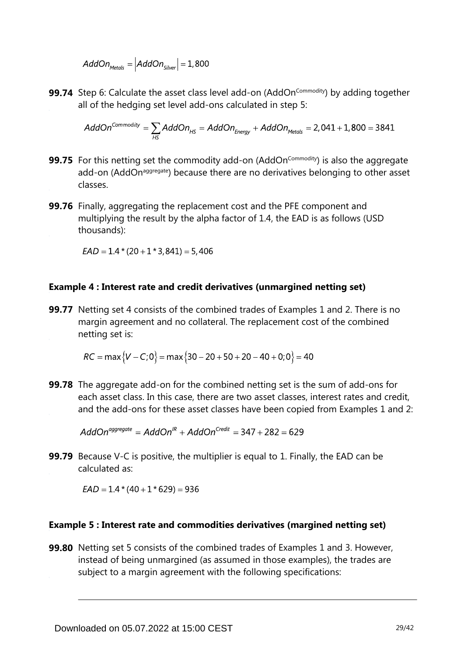$$
AddOn_{\text{Methods}} = |AddOn_{\text{Silver}}| = 1,800
$$

**99.74** Step 6: Calculate the asset class level add-on (AddOn<sup>commodity</sup>) by adding together all of the hedging set level add-ons calculated in step 5:

$$
AddOn^{Commodity} = \sum_{HS} AddOn_{HS} = AddOn_{Energy} + AddOn_{Methods} = 2,041 + 1,800 = 3841
$$

- **99.75** For this netting set the commodity add-on (AddOn<sup>Commodity</sup>) is also the aggregate add-on (AddOn<sup>aggregate</sup>) because there are no derivatives belonging to other asset classes.
- **99.76** Finally, aggregating the replacement cost and the PFE component and multiplying the result by the alpha factor of 1.4, the EAD is as follows (USD thousands):

 $EAD = 1.4*(20 + 1*3,841) = 5,406$ 

#### **Example 4 : Interest rate and credit derivatives (unmargined netting set)**

**99.77** Netting set 4 consists of the combined trades of Examples 1 and 2. There is no margin agreement and no collateral. The replacement cost of the combined netting set is:

 $RC = \max \{V - C; 0\} = \max \{30 - 20 + 50 + 20 - 40 + 0; 0\} = 40$ 

**99.78** The aggregate add-on for the combined netting set is the sum of add-ons for each asset class. In this case, there are two asset classes, interest rates and credit, and the add-ons for these asset classes have been copied from Examples 1 and 2:

 $AddOn<sup>aggregate</sup> = AddOn<sup>IR</sup> + AddOn<sup>Credit</sup> = 347 + 282 = 629$ 

**99.79** Because V-C is positive, the multiplier is equal to 1. Finally, the EAD can be calculated as:

 $EAD = 1.4 * (40 + 1 * 629) = 936$ 

#### **Example 5 : Interest rate and commodities derivatives (margined netting set)**

**99.80** Netting set 5 consists of the combined trades of Examples 1 and 3. However, instead of being unmargined (as assumed in those examples), the trades are subject to a margin agreement with the following specifications: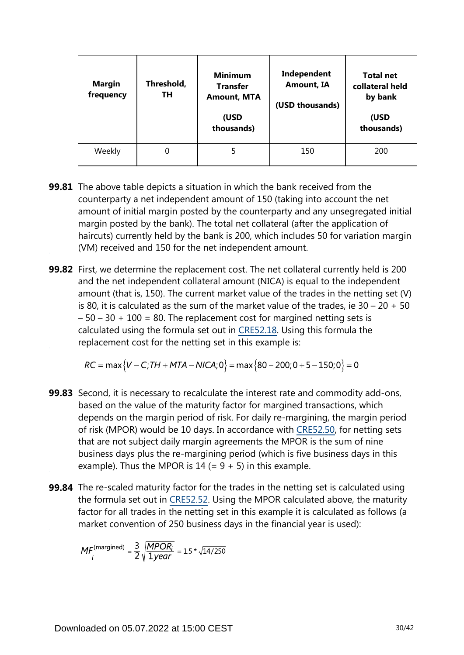| Margin<br>frequency | Threshold,<br>TН | <b>Minimum</b><br><b>Transfer</b><br><b>Amount, MTA</b><br>(USD<br>thousands) | Independent<br><b>Amount, IA</b><br>(USD thousands) | <b>Total net</b><br>collateral held<br>by bank<br>(USD<br>thousands) |
|---------------------|------------------|-------------------------------------------------------------------------------|-----------------------------------------------------|----------------------------------------------------------------------|
| Weekly              | 0                |                                                                               | 150                                                 | 200                                                                  |

- **99.81** The above table depicts a situation in which the bank received from the counterparty a net independent amount of 150 (taking into account the net amount of initial margin posted by the counterparty and any unsegregated initial margin posted by the bank). The total net collateral (after the application of haircuts) currently held by the bank is 200, which includes 50 for variation margin (VM) received and 150 for the net independent amount.
- **99.82** First, we determine the replacement cost. The net collateral currently held is 200 and the net independent collateral amount (NICA) is equal to the independent amount (that is, 150). The current market value of the trades in the netting set (V) is 80, it is calculated as the sum of the market value of the trades, ie  $30 - 20 + 50$  $-50 - 30 + 100 = 80$ . The replacement cost for margined netting sets is calculated using the formula set out in [CRE52.18](https://www.bis.org/basel_framework/chapter/CRE/52.htm?inforce=20230101&published=20200605#paragraph_CRE_52_20230101_52_18). Using this formula the replacement cost for the netting set in this example is:

 $RC = \max \{V - C$ ; TH + MTA – NICA; 0 = max {80 – 200; 0 + 5 – 150; 0 } = 0

- **99.83** Second, it is necessary to recalculate the interest rate and commodity add-ons, based on the value of the maturity factor for margined transactions, which depends on the margin period of risk. For daily re-margining, the margin period of risk (MPOR) would be 10 days. In accordance with [CRE52.50,](https://www.bis.org/basel_framework/chapter/CRE/52.htm?inforce=20230101&published=20200605#paragraph_CRE_52_20230101_52_50) for netting sets that are not subject daily margin agreements the MPOR is the sum of nine business days plus the re-margining period (which is five business days in this example). Thus the MPOR is  $14 (= 9 + 5)$  in this example.
- **99.84** The re-scaled maturity factor for the trades in the netting set is calculated using the formula set out in [CRE52.52.](https://www.bis.org/basel_framework/chapter/CRE/52.htm?inforce=20230101&published=20200605#paragraph_CRE_52_20230101_52_52) Using the MPOR calculated above, the maturity factor for all trades in the netting set in this example it is calculated as follows (a market convention of 250 business days in the financial year is used):

$$
MF_i^{\text{(margined)}} = \frac{3}{2} \sqrt{\frac{MPOR_i}{1year}} = 1.5 * \sqrt{14/250}
$$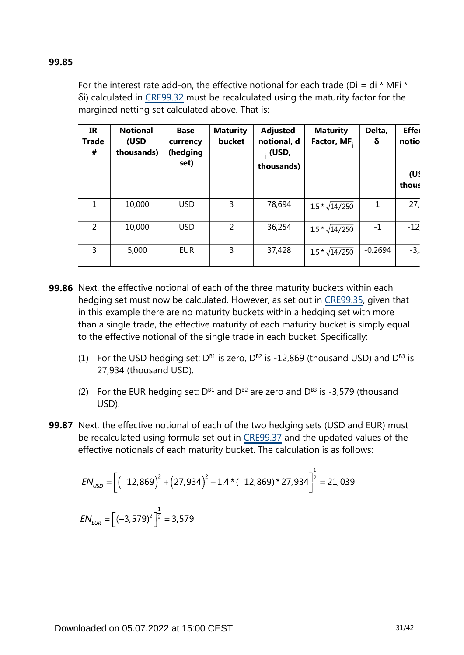#### **99.85**

For the interest rate add-on, the effective notional for each trade (Di = di  $*$  MFi  $*$ δi) calculated in [CRE99.32](https://www.bis.org/basel_framework/chapter/CRE/99.htm?inforce=20230101&published=20200327#paragraph_CRE_99_20230101_99_32) must be recalculated using the maturity factor for the margined netting set calculated above. That is:

| <b>IR</b><br><b>Trade</b><br># | <b>Notional</b><br>(USD<br>thousands) | <b>Base</b><br>currency<br>(hedging<br>set) | <b>Maturity</b><br>bucket | <b>Adjusted</b><br>notional, d<br>$\cdot$ (USD,<br>thousands) | <b>Maturity</b><br>Factor, MF. | Delta,<br>$\delta_{\rm i}$ | <b>Effer</b><br>notio<br>(U!<br>thous |
|--------------------------------|---------------------------------------|---------------------------------------------|---------------------------|---------------------------------------------------------------|--------------------------------|----------------------------|---------------------------------------|
| 1                              | 10,000                                | <b>USD</b>                                  | 3                         | 78,694                                                        | $1.5 * \sqrt{14/250}$          | 1                          | 27,                                   |
| $\overline{2}$                 | 10,000                                | <b>USD</b>                                  | $\overline{2}$            | 36,254                                                        | $1.5 * \sqrt{14/250}$          | $-1$                       | $-12$                                 |
| 3                              | 5,000                                 | <b>EUR</b>                                  | 3                         | 37,428                                                        | $1.5 * \sqrt{14/250}$          | $-0.2694$                  | $-3,$                                 |

- **99.86** Next, the effective notional of each of the three maturity buckets within each hedging set must now be calculated. However, as set out in [CRE99.35,](https://www.bis.org/basel_framework/chapter/CRE/99.htm?inforce=20230101&published=20200327#paragraph_CRE_99_20230101_99_35) given that in this example there are no maturity buckets within a hedging set with more than a single trade, the effective maturity of each maturity bucket is simply equal to the effective notional of the single trade in each bucket. Specifically:
	- (1) For the USD hedging set:  $D^{B1}$  is zero,  $D^{B2}$  is -12,869 (thousand USD) and  $D^{B3}$  is 27,934 (thousand USD).
	- (2) For the EUR hedging set:  $D^{B1}$  and  $D^{B2}$  are zero and  $D^{B3}$  is -3,579 (thousand USD).
- **99.87** Next, the effective notional of each of the two hedging sets (USD and EUR) must be recalculated using formula set out in [CRE99.37](https://www.bis.org/basel_framework/chapter/CRE/99.htm?inforce=20230101&published=20200327#paragraph_CRE_99_20230101_99_37) and the updated values of the effective notionals of each maturity bucket. The calculation is as follows:

$$
EN_{USD} = \left[ \left( -12,869 \right)^2 + \left( 27,934 \right)^2 + 1.4 \times \left( -12,869 \right) \times 27,934 \right]^{\frac{1}{2}} = 21,039
$$
  
\n
$$
EN_{EUR} = \left[ \left( -3,579 \right)^2 \right]^{\frac{1}{2}} = 3,579
$$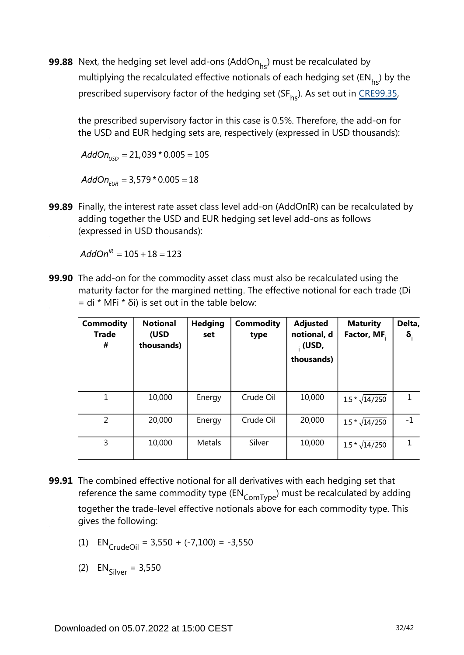**99.88** Next, the hedging set level add-ons (AddOn $_{\sf hs}$ ) must be recalculated by multiplying the recalculated effective notionals of each hedging set ( $EN_{bc}$ ) by the prescribed supervisory factor of the hedging set (SF<sub>hs</sub>). As set out in CRE99.35[,](https://www.bis.org/basel_framework/chapter/CRE/99.htm?inforce=20230101&published=20200327#paragraph_CRE_99_20230101_99_35)

the prescribed supervisory factor in this case is 0.5%. Therefore, the add-on for the USD and EUR hedging sets are, respectively (expressed in USD thousands):

 $AddOn_{\text{LSD}} = 21,039 * 0.005 = 105$ 

 $AddOn_{EUB} = 3,579 * 0.005 = 18$ 

**99.89** Finally, the interest rate asset class level add-on (AddOnIR) can be recalculated by adding together the USD and EUR hedging set level add-ons as follows (expressed in USD thousands):

 $AddOn^{IR} = 105 + 18 = 123$ 

**99.90** The add-on for the commodity asset class must also be recalculated using the maturity factor for the margined netting. The effective notional for each trade (Di  $=$  di \* MFi \* δi) is set out in the table below:

| <b>Commodity</b><br><b>Trade</b><br># | <b>Notional</b><br>(USD<br>thousands) | <b>Hedging</b><br>set | <b>Commodity</b><br>type | <b>Adjusted</b><br>notional, d<br>$_{1}$ (USD,<br>thousands) | <b>Maturity</b><br>Factor, MF. | Delta,<br>$\delta_i$ |
|---------------------------------------|---------------------------------------|-----------------------|--------------------------|--------------------------------------------------------------|--------------------------------|----------------------|
| 1                                     | 10,000                                | Energy                | Crude Oil                | 10,000                                                       | $1.5 * \sqrt{14/250}$          |                      |
| 2                                     | 20,000                                | Energy                | Crude Oil                | 20,000                                                       | $1.5 * \sqrt{14/250}$          | $-1$                 |
| 3                                     | 10,000                                | Metals                | Silver                   | 10,000                                                       | $1.5 * \sqrt{14/250}$          |                      |

- **99.91** The combined effective notional for all derivatives with each hedging set that reference the same commodity type  $(\text{EN}_{\text{ComType}})$  must be recalculated by adding together the trade-level effective notionals above for each commodity type. This gives the following:
	- (1)  $EN_{CrudeOil} = 3,550 + (-7,100) = -3,550$

(2)  $EN_{\text{Silvar}} = 3,550$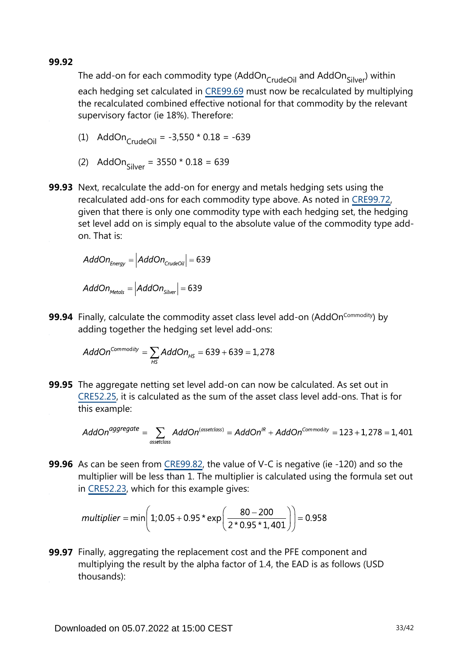**99.92**

The add-on for each commodity type (AddOn CrudeOil and AddOn Silver) within each hedging set calculated in [CRE99.69](https://www.bis.org/basel_framework/chapter/CRE/99.htm?inforce=20230101&published=20200327#paragraph_CRE_99_20230101_99_69) must now be recalculated by multiplying the recalculated combined effective notional for that commodity by the relevant supervisory factor (ie 18%). Therefore:

(1) 
$$
\text{AddOn}_{\text{CrudeOil}} = -3,550 \times 0.18 = -639
$$

- (2) AddOn<sub>Silver</sub> =  $3550 * 0.18 = 639$
- **99.93** Next, recalculate the add-on for energy and metals hedging sets using the recalculated add-ons for each commodity type above. As noted in [CRE99.72,](https://www.bis.org/basel_framework/chapter/CRE/99.htm?inforce=20230101&published=20200327#paragraph_CRE_99_20230101_99_72) given that there is only one commodity type with each hedging set, the hedging set level add on is simply equal to the absolute value of the commodity type addon. That is:

$$
AddOn_{Energy} = |AddOn_{\text{Crude Oil}}| = 639
$$

 $AddOn_{\text{Methods}} = |AddOn_{\text{Silver}}| = 639$ 

**99.94** Finally, calculate the commodity asset class level add-on (AddOn<sup>Commodity</sup>) by adding together the hedging set level add-ons:

$$
AddOn^{Commodity} = \sum_{HS} AddOn_{HS} = 639 + 639 = 1,278
$$

**99.95** The aggregate netting set level add-on can now be calculated. As set out in [CRE52.25](https://www.bis.org/basel_framework/chapter/CRE/52.htm?inforce=20230101&published=20200605#paragraph_CRE_52_20230101_52_25), it is calculated as the sum of the asset class level add-ons. That is for this example:

$$
AddOnaggregate = \sum_{\text{assetclass}} AddOn(assetclass) = AddOnIR + AddOnCommodity = 123 + 1,278 = 1,401
$$

**99.96** As can be seen from [CRE99.82,](https://www.bis.org/basel_framework/chapter/CRE/99.htm?inforce=20230101&published=20200327#paragraph_CRE_99_20230101_99_82) the value of V-C is negative (ie -120) and so the multiplier will be less than 1. The multiplier is calculated using the formula set out in [CRE52.23](https://www.bis.org/basel_framework/chapter/CRE/52.htm?inforce=20230101&published=20200605#paragraph_CRE_52_20230101_52_23), which for this example gives:

$$
multiplier = min\left(1; 0.05 + 0.95 \cdot exp\left(\frac{80 - 200}{2 \cdot 0.95 \cdot 1,401}\right)\right) = 0.958
$$

**99.97** Finally, aggregating the replacement cost and the PFE component and multiplying the result by the alpha factor of 1.4, the EAD is as follows (USD thousands):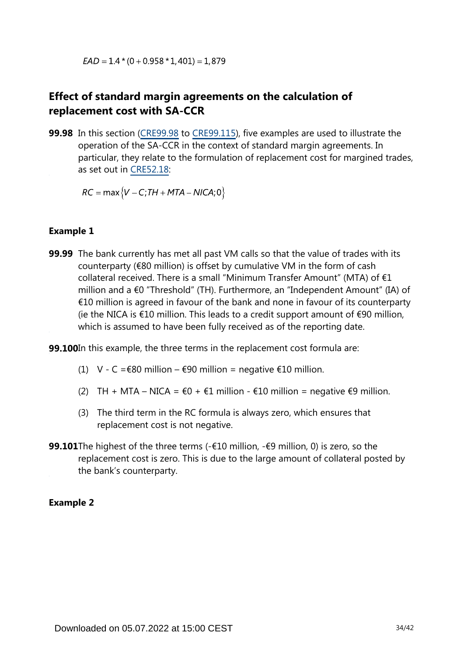$EAD = 1.4*(0 + 0.958 * 1,401) = 1,879$ 

## **Effect of standard margin agreements on the calculation of replacement cost with SA-CCR**

**99.98** In this section [\(CRE99.98](https://www.bis.org/basel_framework/chapter/CRE/99.htm?inforce=20230101&published=20200327#paragraph_CRE_99_20230101_99_98) to [CRE99.115\)](https://www.bis.org/basel_framework/chapter/CRE/99.htm?inforce=20230101&published=20200327#paragraph_CRE_99_20230101_99_115), five examples are used to illustrate the operation of the SA-CCR in the context of standard margin agreements. In particular, they relate to the formulation of replacement cost for margined trades, as set out in [CRE52.18:](https://www.bis.org/basel_framework/chapter/CRE/52.htm?inforce=20230101&published=20200605#paragraph_CRE_52_20230101_52_18)

 $RC = \max \{V - C; TH + MTA - NICA; 0\}$ 

#### **Example 1**

**99.99** The bank currently has met all past VM calls so that the value of trades with its counterparty (€80 million) is offset by cumulative VM in the form of cash collateral received. There is a small "Minimum Transfer Amount" (MTA) of €1 million and a €0 "Threshold" (TH). Furthermore, an "Independent Amount" (IA) of €10 million is agreed in favour of the bank and none in favour of its counterparty (ie the NICA is €10 million. This leads to a credit support amount of  $€90$  million, which is assumed to have been fully received as of the reporting date.

**99.100**In this example, the three terms in the replacement cost formula are:

- (1) V C =  $\epsilon$ 80 million  $\epsilon$ 90 million = negative  $\epsilon$ 10 million.
- (2) TH + MTA NICA =  $\epsilon$ 0 +  $\epsilon$ 1 million  $\epsilon$ 10 million = negative  $\epsilon$ 9 million.
- (3) The third term in the RC formula is always zero, which ensures that replacement cost is not negative.
- **99.101**The highest of the three terms (-€10 million, -€9 million, 0) is zero, so the replacement cost is zero. This is due to the large amount of collateral posted by the bank's counterparty.

#### **Example 2**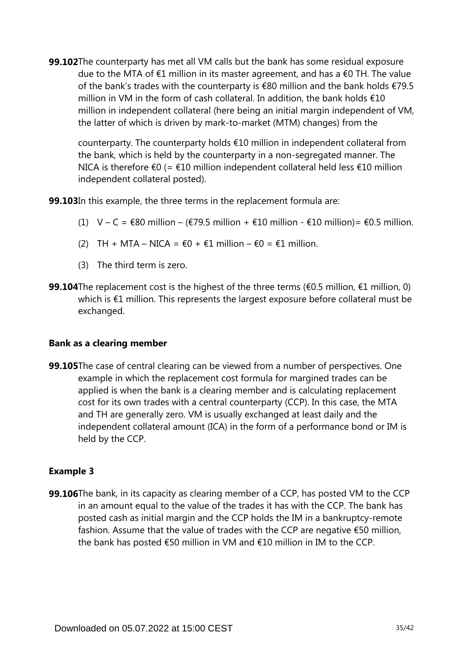**99.102**The counterparty has met all VM calls but the bank has some residual exposure due to the MTA of €1 million in its master agreement, and has a €0 TH. The value of the bank's trades with the counterparty is €80 million and the bank holds €79.5 million in VM in the form of cash collateral. In addition, the bank holds €10 million in independent collateral (here being an initial margin independent of VM, the latter of which is driven by mark-to-market (MTM) changes) from the

counterparty. The counterparty holds €10 million in independent collateral from the bank, which is held by the counterparty in a non-segregated manner. The NICA is therefore €0 (= €10 million independent collateral held less €10 million independent collateral posted).

**99.103**In this example, the three terms in the replacement formula are:

- (1)  $V C = \epsilon 80$  million ( $\epsilon$ 79.5 million +  $\epsilon$ 10 million  $\epsilon$ 10 million) =  $\epsilon$ 0.5 million.
- (2) TH + MTA NICA =  $\epsilon$ 0 +  $\epsilon$ 1 million  $\epsilon$ 0 =  $\epsilon$ 1 million.
- (3) The third term is zero.
- **99.104**The replacement cost is the highest of the three terms (€0.5 million, €1 million, 0) which is €1 million. This represents the largest exposure before collateral must be exchanged.

#### **Bank as a clearing member**

**99.105**The case of central clearing can be viewed from a number of perspectives. One example in which the replacement cost formula for margined trades can be applied is when the bank is a clearing member and is calculating replacement cost for its own trades with a central counterparty (CCP). In this case, the MTA and TH are generally zero. VM is usually exchanged at least daily and the independent collateral amount (ICA) in the form of a performance bond or IM is held by the CCP.

#### **Example 3**

**99.106**The bank, in its capacity as clearing member of a CCP, has posted VM to the CCP in an amount equal to the value of the trades it has with the CCP. The bank has posted cash as initial margin and the CCP holds the IM in a bankruptcy-remote fashion. Assume that the value of trades with the CCP are negative €50 million, the bank has posted €50 million in VM and €10 million in IM to the CCP.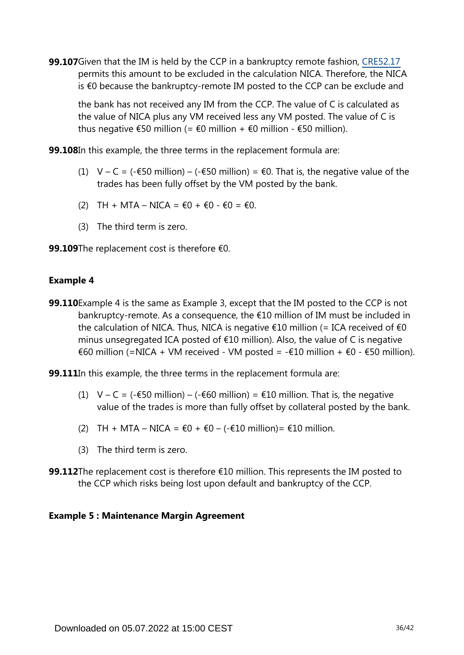**99.107**Given that the IM is held by the CCP in a bankruptcy remote fashion, [CRE52.17](https://www.bis.org/basel_framework/chapter/CRE/52.htm?inforce=20230101&published=20200605#paragraph_CRE_52_20230101_52_17) permits this amount to be excluded in the calculation NICA. Therefore, the NICA is €0 because the bankruptcy-remote IM posted to the CCP can be exclude and

the bank has not received any IM from the CCP. The value of C is calculated as the value of NICA plus any VM received less any VM posted. The value of C is thus negative  $\epsilon$ 50 million (=  $\epsilon$ 0 million +  $\epsilon$ 0 million -  $\epsilon$ 50 million).

**99.108**In this example, the three terms in the replacement formula are:

- (1) V C = (- $\epsilon$ 50 million) (- $\epsilon$ 50 million) =  $\epsilon$ 0. That is, the negative value of the trades has been fully offset by the VM posted by the bank.
- (2) TH + MTA NICA =  $\epsilon$ 0 +  $\epsilon$ 0  $\epsilon$ 0 =  $\epsilon$ 0.
- (3) The third term is zero.
- 99.109The replacement cost is therefore €0.

#### **Example 4**

**99.110** Example 4 is the same as Example 3, except that the IM posted to the CCP is not bankruptcy-remote. As a consequence, the €10 million of IM must be included in the calculation of NICA. Thus, NICA is negative  $\epsilon$ 10 million (= ICA received of  $\epsilon$ 0 minus unsegregated ICA posted of €10 million). Also, the value of C is negative €60 million (=NICA + VM received - VM posted = -€10 million + €0 - €50 million).

**99.111**In this example, the three terms in the replacement formula are:

- (1)  $V C = (-\epsilon 50 \text{ million}) (-\epsilon 60 \text{ million}) = \epsilon 10 \text{ million}$ . That is, the negative value of the trades is more than fully offset by collateral posted by the bank.
- (2) TH + MTA NICA =  $€0 + €0 (-€10 \text{ million}) = €10 \text{ million}.$
- (3) The third term is zero.
- **99.112**The replacement cost is therefore €10 million. This represents the IM posted to the CCP which risks being lost upon default and bankruptcy of the CCP.

#### **Example 5 : Maintenance Margin Agreement**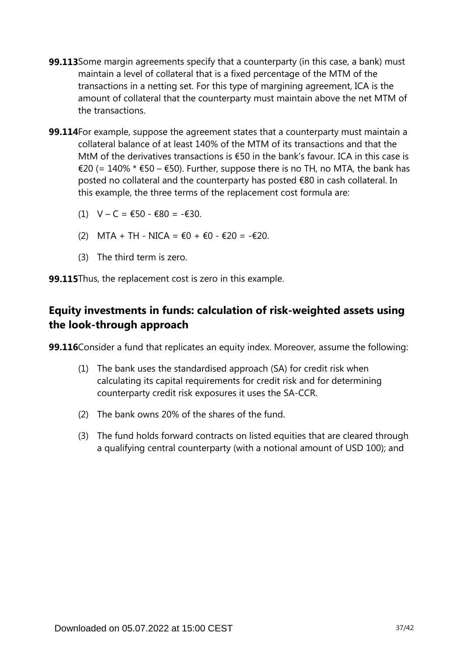- **99.113** Some margin agreements specify that a counterparty (in this case, a bank) must maintain a level of collateral that is a fixed percentage of the MTM of the transactions in a netting set. For this type of margining agreement, ICA is the amount of collateral that the counterparty must maintain above the net MTM of the transactions.
- **99.114**For example, suppose the agreement states that a counterparty must maintain a collateral balance of at least 140% of the MTM of its transactions and that the MtM of the derivatives transactions is €50 in the bank's favour. ICA in this case is €20 (= 140% \* €50 – €50). Further, suppose there is no TH, no MTA, the bank has posted no collateral and the counterparty has posted €80 in cash collateral. In this example, the three terms of the replacement cost formula are:
	- (1)  $V C = €50 €80 = -€30$ .
	- (2) MTA + TH NICA = €0 + €0 €20 = -€20.
	- (3) The third term is zero.

**99.115**Thus, the replacement cost is zero in this example.

## **Equity investments in funds: calculation of risk-weighted assets using the look-through approach**

**99.116**Consider a fund that replicates an equity index. Moreover, assume the following:

- (1) The bank uses the standardised approach (SA) for credit risk when calculating its capital requirements for credit risk and for determining counterparty credit risk exposures it uses the SA-CCR.
- (2) The bank owns 20% of the shares of the fund.
- (3) The fund holds forward contracts on listed equities that are cleared through a qualifying central counterparty (with a notional amount of USD 100); and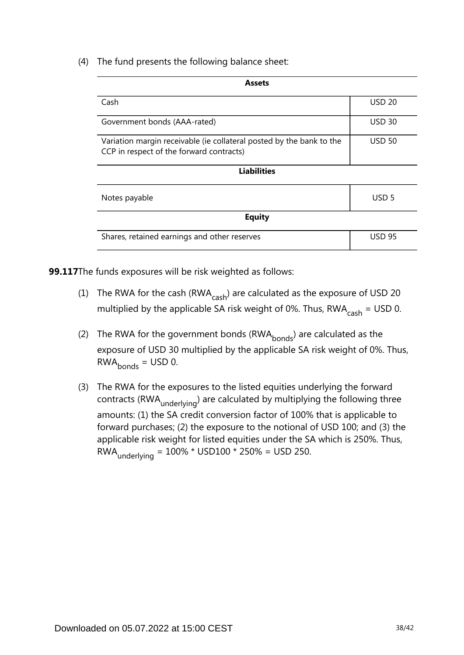(4) The fund presents the following balance sheet:

| <b>Assets</b>                                                                                                    |                  |  |  |  |  |
|------------------------------------------------------------------------------------------------------------------|------------------|--|--|--|--|
| Cash                                                                                                             | <b>USD 20</b>    |  |  |  |  |
| Government bonds (AAA-rated)                                                                                     | <b>USD 30</b>    |  |  |  |  |
| Variation margin receivable (ie collateral posted by the bank to the<br>CCP in respect of the forward contracts) | <b>USD 50</b>    |  |  |  |  |
| <b>Liabilities</b>                                                                                               |                  |  |  |  |  |
| Notes payable                                                                                                    | USD <sub>5</sub> |  |  |  |  |
| <b>Equity</b>                                                                                                    |                  |  |  |  |  |
| Shares, retained earnings and other reserves                                                                     | <b>USD 95</b>    |  |  |  |  |

**99.117**The funds exposures will be risk weighted as follows:

- (1) The RWA for the cash (RWA $_{\rm cash}$ ) are calculated as the exposure of USD 20 multiplied by the applicable SA risk weight of 0%. Thus,  $RWA_{cash} = USD$  0.
- (2) The RWA for the government bonds (RWA $_{\text{bonds}}$ ) are calculated as the exposure of USD 30 multiplied by the applicable SA risk weight of 0%. Thus,  $RWA<sub>bonds</sub> = USD 0.$
- (3) The RWA for the exposures to the listed equities underlying the forward contracts (RWA <sub>underlying</sub>) are calculated by multiplying the following three amounts: (1) the SA credit conversion factor of 100% that is applicable to forward purchases; (2) the exposure to the notional of USD 100; and (3) the applicable risk weight for listed equities under the SA which is 250%. Thus, RWA underlying =  $100\%$  \* USD100 \* 250% = USD 250.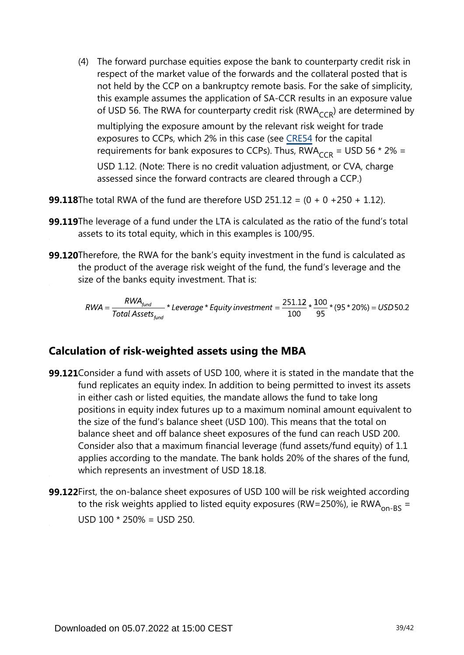(4) The forward purchase equities expose the bank to counterparty credit risk in respect of the market value of the forwards and the collateral posted that is not held by the CCP on a bankruptcy remote basis. For the sake of simplicity, this example assumes the application of SA-CCR results in an exposure value of USD 56. The RWA for counterparty credit risk (RWA $_{CCR}$ ) are determined by

multiplying the exposure amount by the relevant risk weight for trade exposures to CCPs, which 2% in this case (see [CRE54](https://www.bis.org/basel_framework/chapter/CRE/54.htm?inforce=20230101&published=20200327) for the capital requirements for bank exposures to CCPs). Thus,  $RWA_{CCR} = USD 56 * 2\% =$ USD 1.12. (Note: There is no credit valuation adjustment, or CVA, charge assessed since the forward contracts are cleared through a CCP.)

**99.118**The total RWA of the fund are therefore USD 251.12 = (0 + 0 +250 + 1.12).

- **99.119**The leverage of a fund under the LTA is calculated as the ratio of the fund's total assets to its total equity, which in this examples is 100/95.
- **99.120**Therefore, the RWA for the bank's equity investment in the fund is calculated as the product of the average risk weight of the fund, the fund's leverage and the size of the banks equity investment. That is:

$$
RWA = \frac{RWA_{fund}}{Total\,\,Assets_{fund}} \times \text{Leverage} \times \text{Equity investment} = \frac{251.12}{100} \times \frac{100}{95} \times (95 \times 20\%) = USD\,50.2
$$

### **Calculation of risk-weighted assets using the MBA**

- **99.121** Consider a fund with assets of USD 100, where it is stated in the mandate that the fund replicates an equity index. In addition to being permitted to invest its assets in either cash or listed equities, the mandate allows the fund to take long positions in equity index futures up to a maximum nominal amount equivalent to the size of the fund's balance sheet (USD 100). This means that the total on balance sheet and off balance sheet exposures of the fund can reach USD 200. Consider also that a maximum financial leverage (fund assets/fund equity) of 1.1 applies according to the mandate. The bank holds 20% of the shares of the fund, which represents an investment of USD 18.18.
- **99.122** First, the on-balance sheet exposures of USD 100 will be risk weighted according to the risk weights applied to listed equity exposures (RW=250%), ie RWA<sub>on-BS</sub> = USD  $100 * 250% =$  USD 250.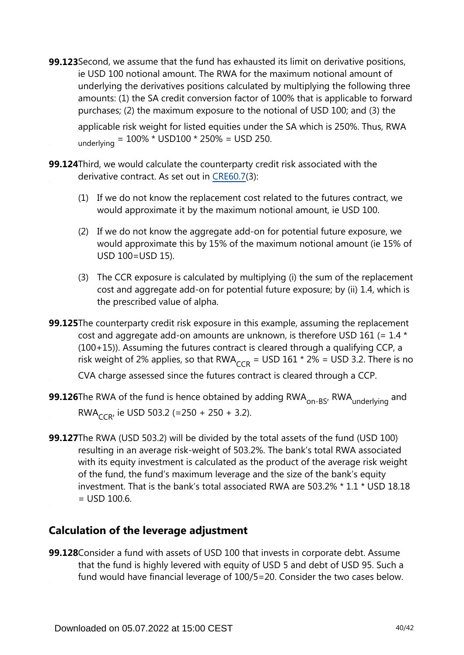**99.123** Second, we assume that the fund has exhausted its limit on derivative positions, ie USD 100 notional amount. The RWA for the maximum notional amount of underlying the derivatives positions calculated by multiplying the following three amounts: (1) the SA credit conversion factor of 100% that is applicable to forward purchases; (2) the maximum exposure to the notional of USD 100; and (3) the

applicable risk weight for listed equities under the SA which is 250%. Thus, RWA underlying =  $100\%$  \* USD100 \* 250% = USD 250.

**99.124**Third, we would calculate the counterparty credit risk associated with the derivative contract. As set out in [CRE60.7](https://www.bis.org/basel_framework/chapter/CRE/60.htm?inforce=20230101&published=20200327#paragraph_CRE_60_20230101_60_7)(3):

- (1) If we do not know the replacement cost related to the futures contract, we would approximate it by the maximum notional amount, ie USD 100.
- (2) If we do not know the aggregate add-on for potential future exposure, we would approximate this by 15% of the maximum notional amount (ie 15% of USD 100=USD 15).
- (3) The CCR exposure is calculated by multiplying (i) the sum of the replacement cost and aggregate add-on for potential future exposure; by (ii) 1.4, which is the prescribed value of alpha.

**99.125**The counterparty credit risk exposure in this example, assuming the replacement cost and aggregate add-on amounts are unknown, is therefore USD 161 (=  $1.4 \times$ (100+15)). Assuming the futures contract is cleared through a qualifying CCP, a risk weight of 2% applies, so that RWA<sub>CCR</sub> = USD 161 \* 2% = USD 3.2. There is no

CVA charge assessed since the futures contract is cleared through a CCP.

**99.126**The RWA of the fund is hence obtained by adding  $\mathsf{RWA}_{\mathsf{on-BS'}}$   $\mathsf{RWA}_{\mathsf{underlying}}$  and RWA<sub>CCR</sub>, ie USD 503.2 (=250 + 250 + 3.2).

**99.127**The RWA (USD 503.2) will be divided by the total assets of the fund (USD 100) resulting in an average risk-weight of 503.2%. The bank's total RWA associated with its equity investment is calculated as the product of the average risk weight of the fund, the fund's maximum leverage and the size of the bank's equity investment. That is the bank's total associated RWA are 503.2% \* 1.1 \* USD 18.18  $=$  USD 100.6.

## **Calculation of the leverage adjustment**

**99.128**Consider a fund with assets of USD 100 that invests in corporate debt. Assume that the fund is highly levered with equity of USD 5 and debt of USD 95. Such a fund would have financial leverage of 100/5=20. Consider the two cases below.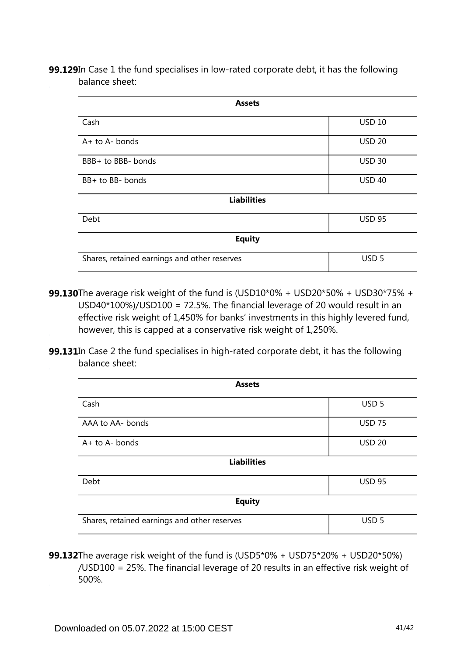**99.129**In Case 1 the fund specialises in low-rated corporate debt, it has the following balance sheet:

| <b>Assets</b>                                |                  |
|----------------------------------------------|------------------|
| Cash                                         | <b>USD 10</b>    |
| $A+$ to $A-$ bonds                           | <b>USD 20</b>    |
| BBB+ to BBB- bonds                           | <b>USD 30</b>    |
| BB+ to BB- bonds                             | <b>USD 40</b>    |
| <b>Liabilities</b>                           |                  |
| Debt                                         | <b>USD 95</b>    |
| <b>Equity</b>                                |                  |
| Shares, retained earnings and other reserves | USD <sub>5</sub> |

- The average risk weight of the fund is (USD10\*0% + USD20\*50% + USD30\*75% + **99.130** USD40\*100%)/USD100 = 72.5%. The financial leverage of 20 would result in an effective risk weight of 1,450% for banks' investments in this highly levered fund, however, this is capped at a conservative risk weight of 1,250%.
- **99.131**In Case 2 the fund specialises in high-rated corporate debt, it has the following balance sheet:

| <b>Assets</b>                                |                  |  |  |  |
|----------------------------------------------|------------------|--|--|--|
| Cash                                         | USD <sub>5</sub> |  |  |  |
| AAA to AA- bonds                             | <b>USD 75</b>    |  |  |  |
| A+ to A- bonds                               | <b>USD 20</b>    |  |  |  |
| <b>Liabilities</b>                           |                  |  |  |  |
| Debt                                         | <b>USD 95</b>    |  |  |  |
| <b>Equity</b>                                |                  |  |  |  |
| Shares, retained earnings and other reserves | USD <sub>5</sub> |  |  |  |

**99.132**The average risk weight of the fund is (USD5\*0% + USD75\*20% + USD20\*50%) /USD100 = 25%. The financial leverage of 20 results in an effective risk weight of 500%.